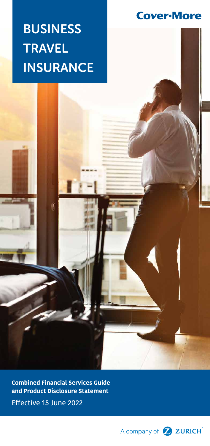**Cover-More** 

# BUSINESS TRAVEL **INSURANCE**

Q

**Combined Financial Services Guide and Product Disclosure Statement**

Effective 15 June 2022

A company of 2 ZURICH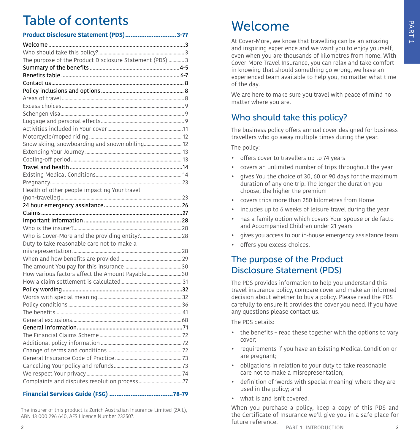# Table of contents

| Product Disclosure Statement (PDS)3-77                   |  |
|----------------------------------------------------------|--|
|                                                          |  |
|                                                          |  |
| The purpose of the Product Disclosure Statement (PDS)  3 |  |
|                                                          |  |
|                                                          |  |
|                                                          |  |
|                                                          |  |
|                                                          |  |
|                                                          |  |
|                                                          |  |
|                                                          |  |
|                                                          |  |
|                                                          |  |
| Snow skiing, snowboarding and snowmobiling 12            |  |
|                                                          |  |
|                                                          |  |
|                                                          |  |
|                                                          |  |
|                                                          |  |
| Health of other people impacting Your travel             |  |
|                                                          |  |
|                                                          |  |
|                                                          |  |
|                                                          |  |
|                                                          |  |
|                                                          |  |
|                                                          |  |
| Duty to take reasonable care not to make a               |  |
|                                                          |  |
|                                                          |  |
|                                                          |  |
| How various factors affect the Amount Payable30          |  |
|                                                          |  |
|                                                          |  |
|                                                          |  |
|                                                          |  |
|                                                          |  |
|                                                          |  |
|                                                          |  |
|                                                          |  |
|                                                          |  |
|                                                          |  |
|                                                          |  |
|                                                          |  |
|                                                          |  |

#### **Financial Services Guide (FSG) ....................................[78](#page-39-0)[-79](#page-39-1)**

The insurer of this product is Zurich Australian Insurance Limited (ZAIL), ABN 13 000 296 640, AFS Licence Number 232507.

# <span id="page-1-0"></span>Welcome

At Cover-More, we know that travelling can be an amazing and inspiring experience and we want you to enjoy yourself, even when you are thousands of kilometres from home. With Cover-More Travel Insurance, you can relax and take comfort in knowing that should something go wrong, we have an experienced team available to help you, no matter what time of the day.

We are here to make sure you travel with peace of mind no matter where you are.

# <span id="page-1-1"></span>Who should take this policy?

The business policy offers annual cover designed for business travellers who go away multiple times during the year.

The policy:

- offers cover to travellers up to 74 years
- covers an unlimited number of trips throughout the year
- gives You the choice of 30, 60 or 90 days for the maximum duration of any one trip. The longer the duration you choose, the higher the premium
- covers trips more than 250 kilometres from Home
- includes up to 6 weeks of leisure travel during the year
- has a family option which covers Your spouse or de facto and Accompanied Children under 21 years
- gives you access to our in-house emergency assistance team
- offers you excess choices.

# <span id="page-1-2"></span>The purpose of the Product Disclosure Statement (PDS)

The PDS provides information to help you understand this travel insurance policy, compare cover and make an informed decision about whether to buy a policy. Please read the PDS carefully to ensure it provides the cover you need. If you have any questions please contact us.

The PDS details:

- the benefits read these together with the options to vary cover;
- requirements if you have an Existing Medical Condition or are pregnant;
- obligations in relation to your duty to take reasonable care not to make a misrepresentation;
- definition of 'words with special meaning' where they are used in the policy; and
- what is and isn't covered.

When you purchase a policy, keep a copy of this PDS and the Certificate of Insurance we'll give you in a safe place for future reference.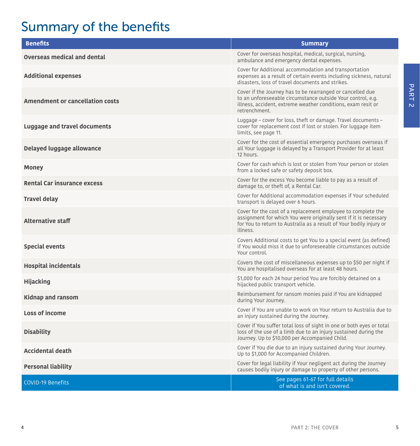# Summary of the benefits

| <b>Benefits</b>                        | <b>Summary</b>                                                                                                                                                                                                      |
|----------------------------------------|---------------------------------------------------------------------------------------------------------------------------------------------------------------------------------------------------------------------|
| <b>Overseas medical and dental</b>     | Cover for overseas hospital, medical, surgical, nursing,<br>ambulance and emergency dental expenses.                                                                                                                |
| <b>Additional expenses</b>             | Cover for Additional accommodation and transportation<br>expenses as a result of certain events including sickness, natural<br>disasters, loss of travel documents and strikes.                                     |
| <b>Amendment or cancellation costs</b> | Cover if the Journey has to be rearranged or cancelled due<br>to an unforeseeable circumstance outside Your control, e.g.<br>illness, accident, extreme weather conditions, exam resit or<br>retrenchment.          |
| Luggage and travel documents           | Luggage - cover for loss, theft or damage. Travel documents -<br>cover for replacement cost if lost or stolen. For luggage item<br>limits, see page 11.                                                             |
| Delayed luggage allowance              | Cover for the cost of essential emergency purchases overseas if<br>all Your luggage is delayed by a Transport Provider for at least<br>12 hours.                                                                    |
| <b>Money</b>                           | Cover for cash which is lost or stolen from Your person or stolen<br>from a locked safe or safety deposit box.                                                                                                      |
| <b>Rental Car insurance excess</b>     | Cover for the excess You become liable to pay as a result of<br>damage to, or theft of, a Rental Car.                                                                                                               |
| <b>Travel delay</b>                    | Cover for Additional accommodation expenses if Your scheduled<br>transport is delayed over 6 hours.                                                                                                                 |
| <b>Alternative staff</b>               | Cover for the cost of a replacement employee to complete the<br>assignment for which You were originally sent if it is necessary<br>for You to return to Australia as a result of Your bodily injury or<br>illness. |
| <b>Special events</b>                  | Covers Additional costs to get You to a special event (as defined)<br>if You would miss it due to unforeseeable circumstances outside<br>Your control.                                                              |
| <b>Hospital incidentals</b>            | Covers the cost of miscellaneous expenses up to \$50 per night if<br>You are hospitalised overseas for at least 48 hours.                                                                                           |
| <b>Hijacking</b>                       | \$1,000 for each 24 hour period You are forcibly detained on a<br>hijacked public transport vehicle.                                                                                                                |
| <b>Kidnap and ransom</b>               | Reimbursement for ransom monies paid if You are kidnapped<br>during Your Journey.                                                                                                                                   |
| Loss of income                         | Cover if You are unable to work on Your return to Australia due to<br>an injury sustained during the Journey.                                                                                                       |
| <b>Disability</b>                      | Cover if You suffer total loss of sight in one or both eyes or total<br>loss of the use of a limb due to an injury sustained during the<br>Journey. Up to \$10,000 per Accompanied Child.                           |
| <b>Accidental death</b>                | Cover if You die due to an injury sustained during Your Journey.<br>Up to \$1,000 for Accompanied Children.                                                                                                         |
| <b>Personal liability</b>              | Cover for legal liability if Your negligent act during the Journey<br>causes bodily injury or damage to property of other persons.                                                                                  |
| <b>COVID-19 Benefits</b>               | See pages 61-67 for full details<br>of what is and isn't covered.                                                                                                                                                   |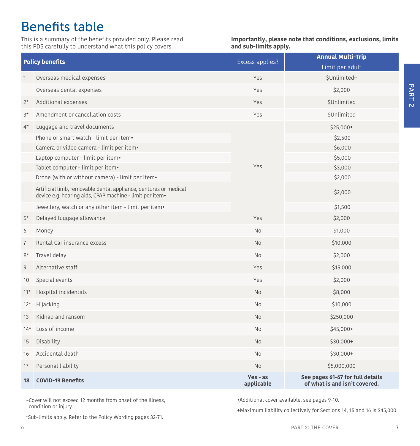# <span id="page-3-0"></span>Benefits table

This is a summary of the benefits provided only. Please read this PDS carefully to understand what this policy covers.

**Importantly, please note that conditions, exclusions, limits and sub-limits apply.**

| <b>Policy benefits</b> |                                                                                                                              | Excess applies?          | <b>Annual Multi-Trip</b><br>Limit per adult                       |
|------------------------|------------------------------------------------------------------------------------------------------------------------------|--------------------------|-------------------------------------------------------------------|
| 1                      | Overseas medical expenses                                                                                                    | Yes                      | \$Unlimited~                                                      |
|                        | Overseas dental expenses                                                                                                     | Yes                      | \$2,000                                                           |
| $2*$                   | Additional expenses                                                                                                          | Yes                      | <b>\$Unlimited</b>                                                |
| $3*$                   | Amendment or cancellation costs                                                                                              | Yes                      | <b>\$Unlimited</b>                                                |
| $4*$                   | Luggage and travel documents                                                                                                 |                          | \$25,000                                                          |
|                        | Phone or smart watch - limit per item•                                                                                       |                          | \$2,500                                                           |
|                        | Camera or video camera - limit per item•                                                                                     |                          | \$6,000                                                           |
|                        | Laptop computer - limit per item•                                                                                            |                          | \$5,000                                                           |
|                        | Tablet computer - limit per item.                                                                                            | Yes                      | \$3,000                                                           |
|                        | Drone (with or without camera) - limit per item.                                                                             |                          | \$2,000                                                           |
|                        | Artificial limb, removable dental appliance, dentures or medical<br>device e.g. hearing aids, CPAP machine - limit per item. |                          | \$2,000                                                           |
|                        | Jewellery, watch or any other item - limit per item.                                                                         |                          | \$1,500                                                           |
| $5*$                   | Delayed luggage allowance                                                                                                    | Yes                      | \$2,000                                                           |
| 6                      | Money                                                                                                                        | <b>No</b>                | \$1,000                                                           |
| $\overline{7}$         | Rental Car insurance excess                                                                                                  | <b>No</b>                | \$10,000                                                          |
| $8*$                   | Travel delay                                                                                                                 | <b>No</b>                | \$2,000                                                           |
| 9                      | Alternative staff                                                                                                            | Yes                      | \$15,000                                                          |
| 10                     | Special events                                                                                                               | Yes                      | \$2,000                                                           |
| $11*$                  | Hospital incidentals                                                                                                         | No                       | \$8,000                                                           |
| $12*$                  | Hijacking                                                                                                                    | <b>No</b>                | \$10,000                                                          |
| 13                     | Kidnap and ransom                                                                                                            | No                       | \$250,000                                                         |
| $14*$                  | Loss of income                                                                                                               | <b>No</b>                | $$45,000+$                                                        |
| 15                     | Disability                                                                                                                   | <b>No</b>                | $$30,000+$                                                        |
| 16                     | Accidental death                                                                                                             | No                       | $$30,000+$                                                        |
| 17                     | Personal liability                                                                                                           | No                       | \$5,000,000                                                       |
| 18                     | <b>COVID-19 Benefits</b>                                                                                                     | $Yes - as$<br>applicable | See pages 61-67 for full details<br>of what is and isn't covered. |

~Cover will not exceed 12 months from onset of the illness, condition or injury.

•Additional cover available, see pages [9](#page-4-5)-[10.](#page-5-2)

+Maximum liability collectively for Sections 14, 15 and 16 is \$45,000.

\*Sub-limits apply. Refer to the Policy Wording pages [32](#page-16-0)-[71.](#page-35-1)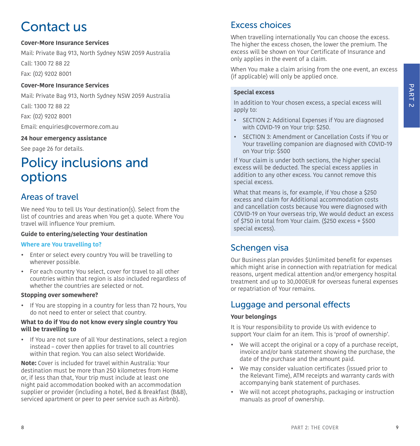# <span id="page-4-0"></span>Contact us

#### **Cover-More Insurance Services**

Mail: Private Bag 913, North Sydney NSW 2059 Australia Call: 1300 72 88 22

Fax: (02) 9202 8001

#### **Cover-More Insurance Services**

Mail: Private Bag 913, North Sydney NSW 2059 Australia

Call: 1300 72 88 22

Fax: (02) 9202 8001

Email: [enquiries@covermore.com.au](mailto:enquiries%40covermore.com.au?subject=)

#### **24 hour emergency assistance**

See page [26](#page-13-0) for details.

# <span id="page-4-1"></span>Policy inclusions and options

### <span id="page-4-2"></span>Areas of travel

We need You to tell Us Your destination(s). Select from the list of countries and areas when You get a quote. Where You travel will influence Your premium.

#### **Guide to entering/selecting Your destination**

#### **Where are You travelling to?**

- Enter or select every country You will be travelling to wherever possible.
- For each country You select, cover for travel to all other countries within that region is also included regardless of whether the countries are selected or not.

#### **Stopping over somewhere?**

• If You are stopping in a country for less than 72 hours, You do not need to enter or select that country.

#### **What to do if You do not know every single country You will be travelling to**

• If You are not sure of all Your destinations, select a region instead – cover then applies for travel to all countries within that region. You can also select Worldwide.

**Note:** Cover is included for travel within Australia: Your destination must be more than 250 kilometres from Home or, if less than that, Your trip must include at least one night paid accommodation booked with an accommodation supplier or provider (including a hotel, Bed & Breakfast (B&B), serviced apartment or peer to peer service such as Airbnb).

# <span id="page-4-3"></span>Excess choices

When travelling internationally You can choose the excess. The higher the excess chosen, the lower the premium. The excess will be shown on Your Certificate of Insurance and only applies in the event of a claim.

When You make a claim arising from the one event, an excess (if applicable) will only be applied once.

#### **Special excess**

In addition to Your chosen excess, a special excess will apply to:

- SECTION 2: Additional Expenses if You are diagnosed with COVID-19 on Your trip: \$250.
- SECTION 3: Amendment or Cancellation Costs if You or Your travelling companion are diagnosed with COVID-19 on Your trip: \$500

If Your claim is under both sections, the higher special excess will be deducted. The special excess applies in addition to any other excess. You cannot remove this special excess.

What that means is, for example, if You chose a \$250 excess and claim for Additional accommodation costs and cancellation costs because You were diagnosed with COVID-19 on Your overseas trip, We would deduct an excess of \$750 in total from Your claim. (\$250 excess + \$500 special excess).

# <span id="page-4-4"></span>Schengen visa

Our Business plan provides \$Unlimited benefit for expenses which might arise in connection with repatriation for medical reasons, urgent medical attention and/or emergency hospital treatment and up to 30,000EUR for overseas funeral expenses or repatriation of Your remains.

# <span id="page-4-5"></span>Luggage and personal effects

#### **Your belongings**

It is Your responsibility to provide Us with evidence to support Your claim for an item. This is 'proof of ownership'.

- We will accept the original or a copy of a purchase receipt, invoice and/or bank statement showing the purchase, the date of the purchase and the amount paid.
- We may consider valuation certificates (issued prior to the Relevant Time), ATM receipts and warranty cards with accompanying bank statement of purchases.
- We will not accept photographs, packaging or instruction manuals as proof of ownership.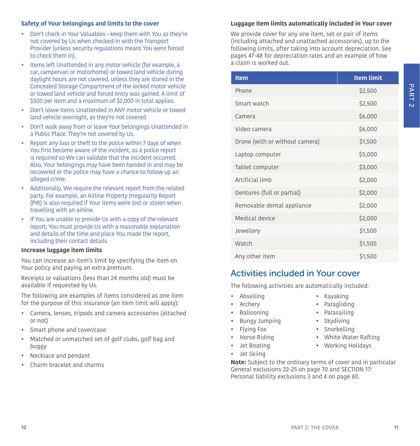#### **Safety of Your belongings and limits to the cover**

- Don't check in Your Valuables keep them with You as they're not covered by Us when checked-in with the Transport Provider (unless security regulations meant You were forced to check them in).
- Items left Unattended in any motor vehicle (for example, a car, campervan or motorhome) or towed land vehicle during daylight hours are not covered, unless they are stored in the Concealed Storage Compartment of the locked motor vehicle or towed land vehicle and forced entry was gained. A limit of \$500 per item and a maximum of \$2,000 in total applies.
- Don't leave items Unattended in ANY motor vehicle or towed land vehicle overnight, as they're not covered.
- Don't walk away from or leave Your belongings Unattended in a Public Place. They're not covered by Us.
- Report any loss or theft to the police within 7 days of when You first become aware of the incident, as a police report is required so We can validate that the incident occurred. Also, Your belongings may have been handed in and may be recovered or the police may have a chance to follow up an alleged crime.
- Additionally, We require the relevant report from the related party. For example, an Airline Property Irregularity Report (PIR) is also required if Your items were lost or stolen when travelling with an airline.
- If You are unable to provide Us with a copy of the relevant report, You must provide Us with a reasonable explanation and details of the time and place You made the report, including their contact details.

#### **Increase luggage item limits**

<span id="page-5-2"></span>You can increase an item's limit by specifying the item on Your policy and paying an extra premium.

Receipts or valuations (less than 24 months old) must be available if requested by Us.

The following are examples of items considered as one item for the purpose of this insurance (an item limit will apply):

- Camera, lenses, tripods and camera accessories (attached or not)
- Smart phone and cover/case
- Matched or unmatched set of golf clubs, golf bag and buggy
- Necklace and pendant
- Charm bracelet and charms

#### <span id="page-5-1"></span>**Luggage item limits automatically included in Your cover**

We provide cover for any one item, set or pair of items (including attached and unattached accessories), up to the following limits, after taking into account depreciation. See pages [47-](#page-23-0)48 for depreciation rates and an example of how a claim is worked out.

| <b>Item</b>                    | <b>Item limit</b> |
|--------------------------------|-------------------|
| Phone                          | \$2,500           |
| Smart watch                    | \$2,500           |
| Camera                         | \$6,000           |
| Video camera                   | \$6,000           |
| Drone (with or without camera) | \$1,500           |
| Laptop computer                | \$5,000           |
| Tablet computer                | \$3,000           |
| Artificial limb                | \$2,000           |
| Dentures (full or partial)     | \$2,000           |
| Removable dental appliance     | \$2,000           |
| Medical device                 | \$2,000           |
| Jewellery                      | \$1,500           |
| Watch                          | \$1,500           |
| Any other item                 | \$1,500           |

### <span id="page-5-0"></span>Activities included in Your cover

The following activities are automatically included:

- Abseiling Kayaking
- Archery **•** Paragliding
- 
- Bungy Jumping Skydiving
- Flying Fox Snorkelling
- 
- 
- Jet Skiing
- Ballooning Parasailing
	-
	-
	- Horse Riding White Water Rafting
- Jet Boating Working Holidays
- **Note:** Subject to the ordinary terms of cover and in particular General exclusions 22-25 on page [70](#page-35-2) and SECTION 17: Personal liability exclusions 3 and 4 on page [60](#page-30-1).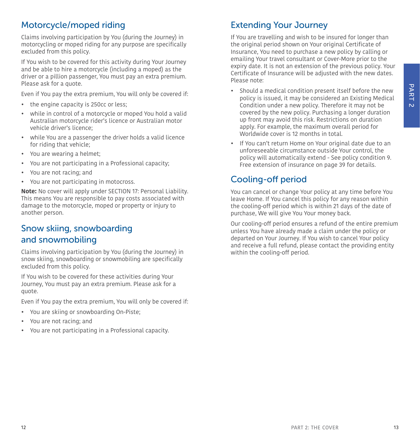# PART 2

# <span id="page-6-0"></span>Motorcycle/moped riding

Claims involving participation by You (during the Journey) in motorcycling or moped riding for any purpose are specifically excluded from this policy.

If You wish to be covered for this activity during Your Journey and be able to hire a motorcycle (including a moped) as the driver or a pillion passenger, You must pay an extra premium. Please ask for a quote.

Even if You pay the extra premium, You will only be covered if:

- the engine capacity is 250cc or less;
- while in control of a motorcycle or moped You hold a valid Australian motorcycle rider's licence or Australian motor vehicle driver's licence;
- while You are a passenger the driver holds a valid licence for riding that vehicle;
- You are wearing a helmet;
- You are not participating in a Professional capacity;
- You are not racing; and
- You are not participating in motocross.

**Note:** No cover will apply under SECTION 17: Personal Liability. This means You are responsible to pay costs associated with damage to the motorcycle, moped or property or injury to another person.

# <span id="page-6-1"></span>Snow skiing, snowboarding and snowmobiling

Claims involving participation by You (during the Journey) in snow skiing, snowboarding or snowmobiling are specifically excluded from this policy.

If You wish to be covered for these activities during Your Journey, You must pay an extra premium. Please ask for a quote.

Even if You pay the extra premium, You will only be covered if:

- You are skiing or snowboarding On-Piste;
- You are not racing; and
- You are not participating in a Professional capacity.

# <span id="page-6-2"></span>Extending Your Journey

If You are travelling and wish to be insured for longer than the original period shown on Your original Certificate of Insurance, You need to purchase a new policy by calling or emailing Your travel consultant or Cover-More prior to the expiry date. It is not an extension of the previous policy. Your Certificate of Insurance will be adjusted with the new dates. Please note:

- Should a medical condition present itself before the new policy is issued, it may be considered an Existing Medical Condition under a new policy. Therefore it may not be covered by the new policy. Purchasing a longer duration up front may avoid this risk. Restrictions on duration apply. For example, the maximum overall period for Worldwide cover is 12 months in total.
- If You can't return Home on Your original date due to an unforeseeable circumstance outside Your control, the policy will automatically extend - See policy condition [9.](#page-19-0) [Free extension of insurance on page 39](#page-19-0) for details.

# <span id="page-6-3"></span>Cooling-off period

You can cancel or change Your policy at any time before You leave Home. If You cancel this policy for any reason within the cooling-off period which is within 21 days of the date of purchase, We will give You Your money back.

Our cooling-off period ensures a refund of the entire premium unless You have already made a claim under the policy or departed on Your Journey. If You wish to cancel Your policy and receive a full refund, please contact the providing entity within the cooling-off period.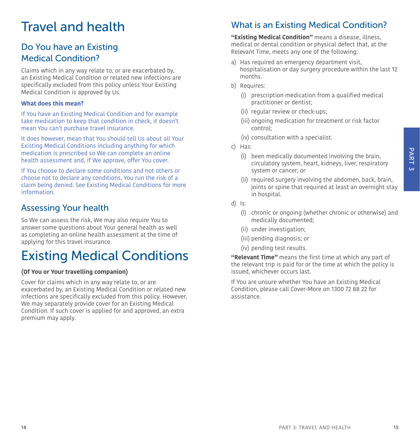# PART<sub>3</sub>

# <span id="page-7-0"></span>Travel and health

# Do You have an Existing Medical Condition?

Claims which in any way relate to, or are exacerbated by, an Existing Medical Condition or related new infections are specifically excluded from this policy unless Your Existing Medical Condition is approved by Us.

#### **What does this mean?**

If You have an Existing Medical Condition and for example take medication to keep that condition in check, it doesn't mean You can't purchase travel insurance.

It does however, mean that You should tell Us about all Your Existing Medical Conditions including anything for which medication is prescribed so We can complete an online health assessment and, if We approve, offer You cover.

If You choose to declare some conditions and not others or choose not to declare any conditions, You run the risk of a claim being denied. See Existing Medical Conditions for more information.

# Assessing Your health

So We can assess the risk, We may also require You to answer some questions about Your general health as well as completing an online health assessment at the time of applying for this travel insurance.

# <span id="page-7-1"></span>Existing Medical Conditions

#### **(Of You or Your travelling companion)**

Cover for claims which in any way relate to, or are exacerbated by, an Existing Medical Condition or related new infections are specifically excluded from this policy. However, We may separately provide cover for an Existing Medical Condition. If such cover is applied for and approved, an extra premium may apply.

# What is an Existing Medical Condition?

**"Existing Medical Condition"** means a disease, illness, medical or dental condition or physical defect that, at the Relevant Time, meets any one of the following:

- a) Has required an emergency department visit, hospitalisation or day surgery procedure within the last 12 months.
- b) Requires:
	- (i) prescription medication from a qualified medical practitioner or dentist;
	- (ii) regular review or check-ups;
	- (iii) ongoing medication for treatment or risk factor control;
	- (iv) consultation with a specialist.
- c) Has:
	- (i) been medically documented involving the brain, circulatory system, heart, kidneys, liver, respiratory system or cancer; or
	- (ii) required surgery involving the abdomen, back, brain, joints or spine that required at least an overnight stay in hospital.
- d) Is:
	- (i) chronic or ongoing (whether chronic or otherwise) and medically documented;
	- (ii) under investigation;
	- (iii) pending diagnosis; or
	- (iv) pending test results.

**"Relevant Time"** means the first time at which any part of the relevant trip is paid for or the time at which the policy is issued, whichever occurs last.

If You are unsure whether You have an Existing Medical Condition, please call Cover-More on 1300 72 88 22 for assistance.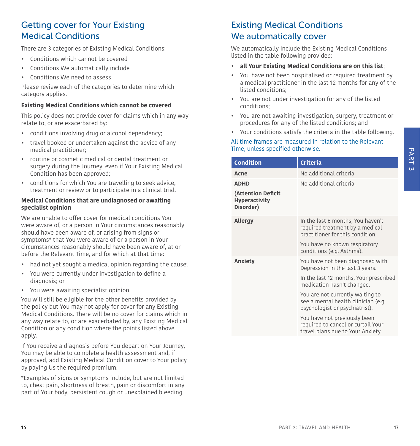# Getting cover for Your Existing Medical Conditions

There are 3 categories of Existing Medical Conditions:

- Conditions which cannot be covered
- Conditions We automatically include
- Conditions We need to assess

Please review each of the categories to determine which category applies.

#### **Existing Medical Conditions which cannot be covered**

This policy does not provide cover for claims which in any way relate to, or are exacerbated by:

- conditions involving drug or alcohol dependency;
- travel booked or undertaken against the advice of any medical practitioner;
- routine or cosmetic medical or dental treatment or surgery during the Journey, even if Your Existing Medical Condition has been approved;
- conditions for which You are travelling to seek advice, treatment or review or to participate in a clinical trial.

#### **Medical Conditions that are undiagnosed or awaiting specialist opinion**

We are unable to offer cover for medical conditions You were aware of, or a person in Your circumstances reasonably should have been aware of, or arising from signs or symptoms\* that You were aware of or a person in Your circumstances reasonably should have been aware of, at or before the Relevant Time, and for which at that time:

- had not yet sought a medical opinion regarding the cause;
- You were currently under investigation to define a diagnosis; or
- You were awaiting specialist opinion.

You will still be eligible for the other benefits provided by the policy but You may not apply for cover for any Existing Medical Conditions. There will be no cover for claims which in any way relate to, or are exacerbated by, any Existing Medical Condition or any condition where the points listed above apply.

If You receive a diagnosis before You depart on Your Journey, You may be able to complete a health assessment and, if approved, add Existing Medical Condition cover to Your policy by paying Us the required premium.

\*Examples of signs or symptoms include, but are not limited to, chest pain, shortness of breath, pain or discomfort in any part of Your body, persistent cough or unexplained bleeding.

# Existing Medical Conditions We automatically cover

We automatically include the Existing Medical Conditions listed in the table following provided:

- **all Your Existing Medical Conditions are on this list**;
- You have not been hospitalised or required treatment by a medical practitioner in the last 12 months for any of the listed conditions;
- You are not under investigation for any of the listed conditions;
- You are not awaiting investigation, surgery, treatment or procedures for any of the listed conditions; and
- Your conditions satisfy the criteria in the table following.

#### All time frames are measured in relation to the Relevant Time, unless specified otherwise.

| <b>Condition</b>                                        | <b>Criteria</b>                                                                                           |
|---------------------------------------------------------|-----------------------------------------------------------------------------------------------------------|
| Acne                                                    | No additional criteria.                                                                                   |
| <b>ADHD</b>                                             | No additional criteria.                                                                                   |
| (Attention Deficit<br><b>Hyperactivity</b><br>Disorder) |                                                                                                           |
| <b>Allergy</b>                                          | In the last 6 months, You haven't<br>required treatment by a medical<br>practitioner for this condition.  |
|                                                         | You have no known respiratory<br>conditions (e.g. Asthma).                                                |
| Anxiety                                                 | You have not been diagnosed with<br>Depression in the last 3 years.                                       |
|                                                         | In the last 12 months, Your prescribed<br>medication hasn't changed.                                      |
|                                                         | You are not currently waiting to<br>see a mental health clinician (e.g.<br>psychologist or psychiatrist). |
|                                                         | You have not previously been<br>required to cancel or curtail Your<br>travel plans due to Your Anxiety.   |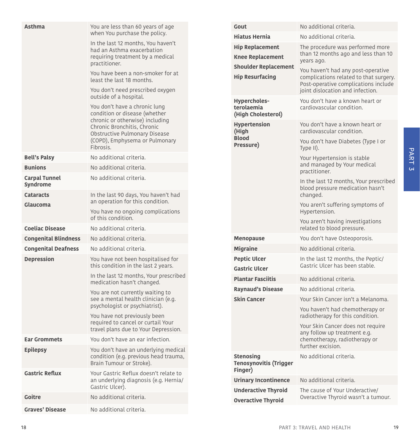| <b>Asthma</b>                    | You are less than 60 years of age                                                                 | Gout                                                  | No additional criteria.                                                                            |
|----------------------------------|---------------------------------------------------------------------------------------------------|-------------------------------------------------------|----------------------------------------------------------------------------------------------------|
|                                  | when You purchase the policy.                                                                     | <b>Hiatus Hernia</b>                                  | No additional criteria.                                                                            |
|                                  | In the last 12 months, You haven't<br>had an Asthma exacerbation                                  | <b>Hip Replacement</b>                                | The procedure was performed more                                                                   |
|                                  | requiring treatment by a medical                                                                  | <b>Knee Replacement</b>                               | than 12 months ago and less than 10<br>years ago.                                                  |
|                                  | practitioner.                                                                                     | <b>Shoulder Replacement</b>                           | You haven't had any post-operative                                                                 |
|                                  | You have been a non-smoker for at<br>least the last 18 months.                                    | <b>Hip Resurfacing</b>                                | complications related to that surgery.<br>Post-operative complications include                     |
|                                  | You don't need prescribed oxygen<br>outside of a hospital.                                        | Hypercholes-                                          | joint dislocation and infection.<br>You don't have a known heart or                                |
|                                  | You don't have a chronic lung<br>condition or disease (whether<br>chronic or otherwise) including | terolaemia<br>(High Cholesterol)                      | cardiovascular condition.                                                                          |
|                                  | Chronic Bronchitis, Chronic<br>Obstructive Pulmonary Disease<br>(COPD), Emphysema or Pulmonary    | <b>Hypertension</b><br>(High<br><b>Blood</b>          | You don't have a known heart or<br>cardiovascular condition.<br>You don't have Diabetes (Type I or |
|                                  | Fibrosis.                                                                                         | Pressure)                                             | Type II).                                                                                          |
| <b>Bell's Palsy</b>              | No additional criteria.                                                                           |                                                       | Your Hypertension is stable                                                                        |
| <b>Bunions</b>                   | No additional criteria.                                                                           |                                                       | and managed by Your medical<br>practitioner.                                                       |
| <b>Carpal Tunnel</b><br>Syndrome | No additional criteria.                                                                           |                                                       | In the last 12 months, Your prescribed<br>blood pressure medication hasn't                         |
| <b>Cataracts</b>                 | In the last 90 days, You haven't had<br>an operation for this condition.                          |                                                       | changed.                                                                                           |
| Glaucoma                         | You have no ongoing complications<br>of this condition.                                           |                                                       | You aren't suffering symptoms of<br>Hypertension.                                                  |
| <b>Coeliac Disease</b>           | No additional criteria.                                                                           |                                                       | You aren't having investigations<br>related to blood pressure.                                     |
| <b>Congenital Blindness</b>      | No additional criteria.                                                                           | <b>Menopause</b>                                      | You don't have Osteoporosis.                                                                       |
| <b>Congenital Deafness</b>       | No additional criteria.                                                                           | <b>Migraine</b>                                       | No additional criteria.                                                                            |
| <b>Depression</b>                | You have not been hospitalised for                                                                | <b>Peptic Ulcer</b>                                   | In the last 12 months, the Peptic/                                                                 |
|                                  | this condition in the last 2 years.                                                               | <b>Gastric Ulcer</b>                                  | Gastric Ulcer has been stable.                                                                     |
|                                  | In the last 12 months, Your prescribed<br>medication hasn't changed.                              | <b>Plantar Fasciitis</b>                              | No additional criteria.                                                                            |
|                                  | You are not currently waiting to                                                                  | <b>Raynaud's Disease</b>                              | No additional criteria.                                                                            |
|                                  | see a mental health clinician (e.g.                                                               | <b>Skin Cancer</b>                                    | Your Skin Cancer isn't a Melanoma.                                                                 |
|                                  | psychologist or psychiatrist).<br>You have not previously been                                    |                                                       | You haven't had chemotherapy or<br>radiotherapy for this condition.                                |
|                                  | required to cancel or curtail Your<br>travel plans due to Your Depression.                        |                                                       | Your Skin Cancer does not require                                                                  |
| <b>Ear Grommets</b>              | You don't have an ear infection.                                                                  |                                                       | any follow up treatment e.g.<br>chemotherapy, radiotherapy or                                      |
| <b>Epilepsy</b>                  | You don't have an underlying medical                                                              |                                                       | further excision.                                                                                  |
|                                  | condition (e.g. previous head trauma,<br>Brain Tumour or Stroke).                                 | <b>Stenosing</b><br>Tenosynovitis (Trigger<br>Finger) | No additional criteria.                                                                            |
| <b>Gastric Reflux</b>            | Your Gastric Reflux doesn't relate to<br>an underlying diagnosis (e.g. Hernia/                    | <b>Urinary Incontinence</b>                           | No additional criteria.                                                                            |
|                                  | Gastric Ulcer).                                                                                   | <b>Underactive Thyroid</b>                            | The cause of Your Underactive/                                                                     |
| Goitre                           | No additional criteria.                                                                           | <b>Overactive Thyroid</b>                             | Overactive Thyroid wasn't a tumour.                                                                |
| <b>Graves' Disease</b>           | No additional criteria.                                                                           |                                                       |                                                                                                    |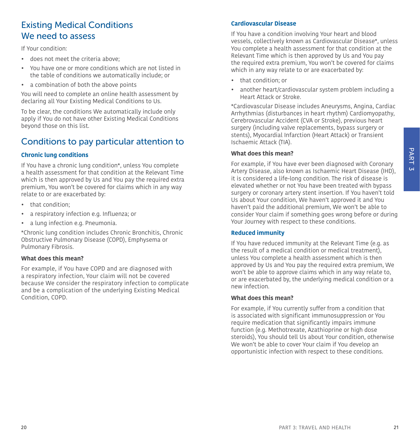# Existing Medical Conditions We need to assess

If Your condition:

- does not meet the criteria above;
- You have one or more conditions which are not listed in the table of conditions we automatically include; or
- a combination of both the above points

You will need to complete an online health assessment by declaring all Your Existing Medical Conditions to Us.

To be clear, the conditions We automatically include only apply if You do not have other Existing Medical Conditions beyond those on this list.

### Conditions to pay particular attention to

#### **Chronic lung conditions**

If You have a chronic lung condition\*, unless You complete a health assessment for that condition at the Relevant Time which is then approved by Us and You pay the required extra premium, You won't be covered for claims which in any way relate to or are exacerbated by:

- that condition;
- a respiratory infection e.g. Influenza; or
- a lung infection e.g. Pneumonia.

\*Chronic lung condition includes Chronic Bronchitis, Chronic Obstructive Pulmonary Disease (COPD), Emphysema or Pulmonary Fibrosis.

#### **What does this mean?**

For example, if You have COPD and are diagnosed with a respiratory infection, Your claim will not be covered because We consider the respiratory infection to complicate and be a complication of the underlying Existing Medical Condition, COPD.

#### **Cardiovascular Disease**

If You have a condition involving Your heart and blood vessels, collectively known as Cardiovascular Disease\*, unless You complete a health assessment for that condition at the Relevant Time which is then approved by Us and You pay the required extra premium, You won't be covered for claims which in any way relate to or are exacerbated by:

- that condition; or
- another heart/cardiovascular system problem including a Heart Attack or Stroke.

\*Cardiovascular Disease includes Aneurysms, Angina, Cardiac Arrhythmias (disturbances in heart rhythm) Cardiomyopathy, Cerebrovascular Accident (CVA or Stroke), previous heart surgery (including valve replacements, bypass surgery or stents), Myocardial Infarction (Heart Attack) or Transient Ischaemic Attack (TIA).

#### **What does this mean?**

For example, if You have ever been diagnosed with Coronary Artery Disease, also known as Ischaemic Heart Disease (IHD), it is considered a life-long condition. The risk of disease is elevated whether or not You have been treated with bypass surgery or coronary artery stent insertion. If You haven't told Us about Your condition, We haven't approved it and You haven't paid the additional premium, We won't be able to consider Your claim if something goes wrong before or during Your Journey with respect to these conditions.

#### **Reduced immunity**

If You have reduced immunity at the Relevant Time (e.g. as the result of a medical condition or medical treatment), unless You complete a health assessment which is then approved by Us and You pay the required extra premium, We won't be able to approve claims which in any way relate to, or are exacerbated by, the underlying medical condition or a new infection.

#### **What does this mean?**

For example, if You currently suffer from a condition that is associated with significant immunosuppression or You require medication that significantly impairs immune function (e.g. Methotrexate, Azathioprine or high dose steroids), You should tell Us about Your condition, otherwise We won't be able to cover Your claim if You develop an opportunistic infection with respect to these conditions.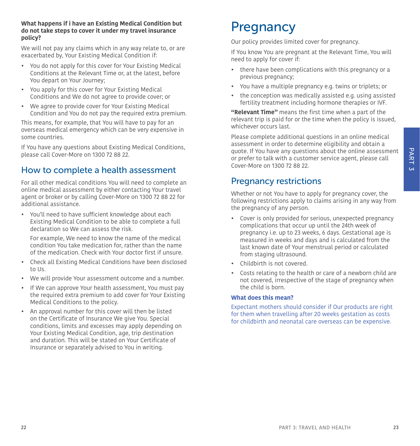#### **What happens if i have an Existing Medical Condition but do not take steps to cover it under my travel insurance policy?**

We will not pay any claims which in any way relate to, or are exacerbated by, Your Existing Medical Condition if:

- You do not apply for this cover for Your Existing Medical Conditions at the Relevant Time or, at the latest, before You depart on Your Journey;
- You apply for this cover for Your Existing Medical Conditions and We do not agree to provide cover; or
- We agree to provide cover for Your Existing Medical Condition and You do not pay the required extra premium.

This means, for example, that You will have to pay for an overseas medical emergency which can be very expensive in some countries.

If You have any questions about Existing Medical Conditions, please call Cover-More on 1300 72 88 22.

### How to complete a health assessment

For all other medical conditions You will need to complete an online medical assessment by either contacting Your travel agent or broker or by calling Cover-More on 1300 72 88 22 for additional assistance.

• You'll need to have sufficient knowledge about each Existing Medical Condition to be able to complete a full declaration so We can assess the risk.

For example, We need to know the name of the medical condition You take medication for, rather than the name of the medication. Check with Your doctor first if unsure.

- Check all Existing Medical Conditions have been disclosed to Us.
- We will provide Your assessment outcome and a number.
- If We can approve Your health assessment, You must pay the required extra premium to add cover for Your Existing Medical Conditions to the policy.
- An approval number for this cover will then be listed on the Certificate of Insurance We give You. Special conditions, limits and excesses may apply depending on Your Existing Medical Condition, age, trip destination and duration. This will be stated on Your Certificate of Insurance or separately advised to You in writing.

# <span id="page-11-0"></span>**Pregnancy**

Our policy provides limited cover for pregnancy.

If You know You are pregnant at the Relevant Time, You will need to apply for cover if:

- there have been complications with this pregnancy or a previous pregnancy;
- You have a multiple pregnancy e.g. twins or triplets; or
- the conception was medically assisted e.g. using assisted fertility treatment including hormone therapies or IVF.

**"Relevant Time"** means the first time when a part of the relevant trip is paid for or the time when the policy is issued, whichever occurs last.

Please complete additional questions in an online medical assessment in order to determine eligibility and obtain a quote. If You have any questions about the online assessment or prefer to talk with a customer service agent, please call Cover-More on 1300 72 88 22.

### Pregnancy restrictions

Whether or not You have to apply for pregnancy cover, the following restrictions apply to claims arising in any way from the pregnancy of any person.

- Cover is only provided for serious, unexpected pregnancy complications that occur up until the 24th week of pregnancy i.e. up to 23 weeks, 6 days. Gestational age is measured in weeks and days and is calculated from the last known date of Your menstrual period or calculated from staging ultrasound.
- Childbirth is not covered.
- Costs relating to the health or care of a newborn child are not covered, irrespective of the stage of pregnancy when the child is born.

#### **What does this mean?**

<span id="page-11-1"></span>Expectant mothers should consider if Our products are right for them when travelling after 20 weeks gestation as costs for childbirth and neonatal care overseas can be expensive.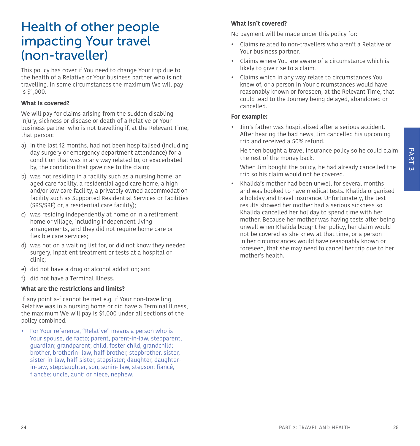# Health of other people impacting Your travel (non-traveller)

This policy has cover if You need to change Your trip due to the health of a Relative or Your business partner who is not travelling. In some circumstances the maximum We will pay is \$1,000.

#### **What Is covered?**

We will pay for claims arising from the sudden disabling injury, sickness or disease or death of a Relative or Your business partner who is not travelling if, at the Relevant Time, that person:

- a) in the last 12 months, had not been hospitalised (including day surgery or emergency department attendance) for a condition that was in any way related to, or exacerbated by, the condition that gave rise to the claim;
- b) was not residing in a facility such as a nursing home, an aged care facility, a residential aged care home, a high and/or low care facility, a privately owned accommodation facility such as Supported Residential Services or Facilities (SRS/SRF) or, a residential care facility);
- c) was residing independently at home or in a retirement home or village, including independent living arrangements, and they did not require home care or flexible care services;
- d) was not on a waiting list for, or did not know they needed surgery, inpatient treatment or tests at a hospital or clinic;
- e) did not have a drug or alcohol addiction; and
- f) did not have a Terminal Illness.

#### **What are the restrictions and limits?**

If any point a-f cannot be met e.g. if Your non-travelling Relative was in a nursing home or did have a Terminal Illness, the maximum We will pay is \$1,000 under all sections of the policy combined.

• For Your reference, "Relative" means a person who is Your spouse, de facto; parent, parent-in-law, stepparent, guardian; grandparent; child, foster child, grandchild; brother, brotherin- law, half-brother, stepbrother, sister, sister-in-law, half-sister, stepsister; daughter, daughterin-law, stepdaughter, son, sonin- law, stepson; fiancé, fiancée; uncle, aunt; or niece, nephew.

#### **What isn't covered?**

No payment will be made under this policy for:

- Claims related to non-travellers who aren't a Relative or Your business partner.
- Claims where You are aware of a circumstance which is likely to give rise to a claim.
- Claims which in any way relate to circumstances You knew of, or a person in Your circumstances would have reasonably known or foreseen, at the Relevant Time, that could lead to the Journey being delayed, abandoned or cancelled.

#### <span id="page-12-0"></span>**For example:**

• Jim's father was hospitalised after a serious accident. After hearing the bad news, Jim cancelled his upcoming trip and received a 50% refund.

He then bought a travel insurance policy so he could claim the rest of the money back.

When Jim bought the policy, he had already cancelled the trip so his claim would not be covered.

• Khalida's mother had been unwell for several months and was booked to have medical tests. Khalida organised a holiday and travel insurance. Unfortunately, the test results showed her mother had a serious sickness so Khalida cancelled her holiday to spend time with her mother. Because her mother was having tests after being unwell when Khalida bought her policy, her claim would not be covered as she knew at that time, or a person in her circumstances would have reasonably known or foreseen, that she may need to cancel her trip due to her mother's health.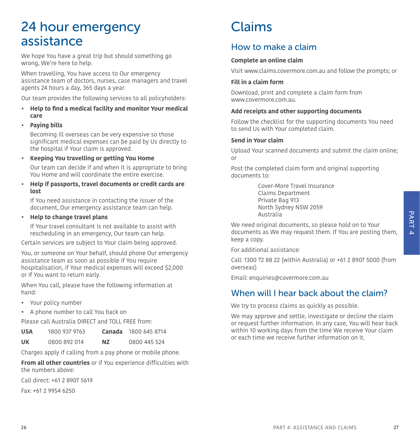# <span id="page-13-0"></span>24 hour emergency assistance

We hope You have a great trip but should something go wrong, We're here to help.

When travelling, You have access to Our emergency assistance team of doctors, nurses, case managers and travel agents 24 hours a day, 365 days a year.

Our team provides the following services to all policyholders:

- **• Help to find a medical facility and monitor Your medical care**
- **• Paying bills**

Becoming ill overseas can be very expensive so those significant medical expenses can be paid by Us directly to the hospital if Your claim is approved.

**• Keeping You travelling or getting You Home**

Our team can decide if and when it is appropriate to bring You Home and will coordinate the entire exercise.

**• Help if passports, travel documents or credit cards are lost**

If You need assistance in contacting the issuer of the document, Our emergency assistance team can help.

**• Help to change travel plans** 

If Your travel consultant is not available to assist with rescheduling in an emergency, Our team can help.

Certain services are subject to Your claim being approved.

You, or someone on Your behalf, should phone Our emergency assistance team as soon as possible if You require hospitalisation, if Your medical expenses will exceed \$2,000 or if You want to return early.

When You call, please have the following information at hand:

- Your policy number
- A phone number to call You back on

Please call Australia DIRECT and TOLL FREE from:

| <b>USA</b> | 1800 937 9763 | Canada | 1800 645 8714 |
|------------|---------------|--------|---------------|
|            |               |        |               |

**UK** 0800 892 014 **NZ** 0800 445 524

Charges apply if calling from a pay phone or mobile phone.

**From all other countries** or if You experience difficulties with the numbers above:

Call direct: +61 2 8907 5619

Fax: +61 2 9954 6250

# <span id="page-13-1"></span>Claims

# How to make a claim

#### **Complete an online claim**

Visit [www.claims.covermore.com.au](http://www.claims.covermore.com.au) and follow the prompts; or

#### **Fill in a claim form**

Download, print and complete a claim form from www.covermore.com.au.

#### **Add receipts and other supporting documents**

Follow the checklist for the supporting documents You need to send Us with Your completed claim.

#### **Send in Your claim**

Upload Your scanned documents and submit the claim online; or

Post the completed claim form and original supporting documents to:

> Cover-More Travel Insurance Claims Department Private Bag 913 North Sydney NSW 2059 Australia

We need original documents, so please hold on to Your documents as We may request them. If You are posting them, keep a copy.

For additional assistance:

Call: 1300 72 88 22 (within Australia) or +61 2 8907 5000 (from overseas)

Email: [enquiries@covermore.com.au](mailto:enquiries%40covermore.com.au?subject=)

### When will I hear back about the claim?

We try to process claims as quickly as possible.

We may approve and settle, investigate or decline the claim or request further information. In any case, You will hear back within 10 working days from the time We receive Your claim or each time we receive further information on it.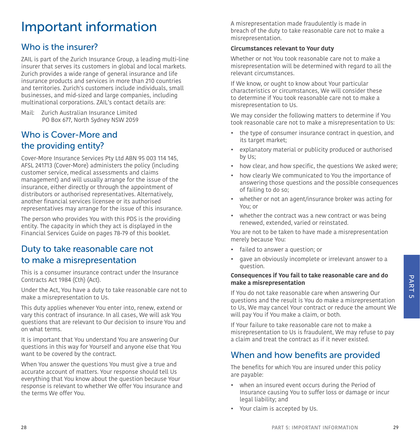# <span id="page-14-0"></span>Important information

# <span id="page-14-1"></span>Who is the insurer?

ZAIL is part of the Zurich Insurance Group, a leading multi-line insurer that serves its customers in global and local markets. Zurich provides a wide range of general insurance and life insurance products and services in more than 210 countries and territories. Zurich's customers include individuals, small businesses, and mid-sized and large companies, including multinational corporations. ZAIL's contact details are:

Mail: Zurich Australian Insurance Limited PO Box 677, North Sydney NSW 2059

# <span id="page-14-2"></span>Who is Cover-More and the providing entity?

Cover-More Insurance Services Pty Ltd ABN 95 003 114 145, AFSL 241713 (Cover-More) administers the policy (including customer service, medical assessments and claims management) and will usually arrange for the issue of the insurance, either directly or through the appointment of distributors or authorised representatives. Alternatively, another financial services licensee or its authorised representatives may arrange for the issue of this insurance.

The person who provides You with this PDS is the providing entity. The capacity in which they act is displayed in the Financial Services Guide on pages [78](#page-39-0)[-79](#page-39-2) of this booklet.

# <span id="page-14-3"></span>Duty to take reasonable care not to make a misrepresentation

This is a consumer insurance contract under the Insurance Contracts Act 1984 (Cth) (Act).

Under the Act, You have a duty to take reasonable care not to make a misrepresentation to Us.

This duty applies whenever You enter into, renew, extend or vary this contract of insurance. In all cases, We will ask You questions that are relevant to Our decision to insure You and on what terms.

It is important that You understand You are answering Our questions in this way for Yourself and anyone else that You want to be covered by the contract.

When You answer the questions You must give a true and accurate account of matters. Your response should tell Us everything that You know about the question because Your response is relevant to whether We offer You insurance and the terms We offer You.

A misrepresentation made fraudulently is made in breach of the duty to take reasonable care not to make a misrepresentation.

#### **Circumstances relevant to Your duty**

Whether or not You took reasonable care not to make a misrepresentation will be determined with regard to all the relevant circumstances.

If We know, or ought to know about Your particular characteristics or circumstances, We will consider these to determine if You took reasonable care not to make a misrepresentation to Us.

We may consider the following matters to determine if You took reasonable care not to make a misrepresentation to Us:

- the type of consumer insurance contract in question, and its target market:
- explanatory material or publicity produced or authorised by Us;
- how clear, and how specific, the questions We asked were;
- how clearly We communicated to You the importance of answering those questions and the possible consequences of failing to do so;
- whether or not an agent/insurance broker was acting for You; or
- whether the contract was a new contract or was being renewed, extended, varied or reinstated.

You are not to be taken to have made a misrepresentation merely because You:

- failed to answer a question; or
- gave an obviously incomplete or irrelevant answer to a question.

#### **Consequences if You fail to take reasonable care and do make a misrepresentation**

If You do not take reasonable care when answering Our questions and the result is You do make a misrepresentation to Us, We may cancel Your contract or reduce the amount We will pay You if You make a claim, or both.

<span id="page-14-5"></span>If Your failure to take reasonable care not to make a misrepresentation to Us is fraudulent, We may refuse to pay a claim and treat the contract as if it never existed.

### <span id="page-14-4"></span>When and how benefits are provided

The benefits for which You are insured under this policy are payable:

- when an insured event occurs during the Period of Insurance causing You to suffer loss or damage or incur legal liability; and
- Your claim is accepted by Us.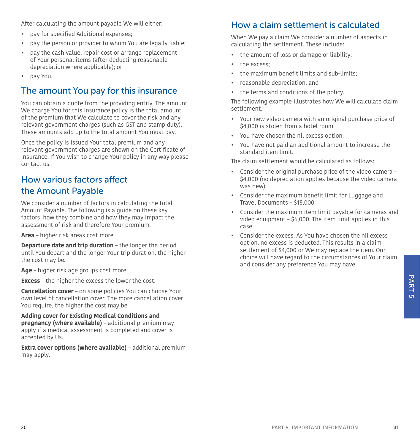After calculating the amount payable We will either:

- pay for specified Additional expenses;
- pay the person or provider to whom You are legally liable;
- pay the cash value, repair cost or arrange replacement of Your personal items (after deducting reasonable depreciation where applicable); or
- pay You.

### <span id="page-15-0"></span>The amount You pay for this insurance

You can obtain a quote from the providing entity. The amount We charge You for this insurance policy is the total amount of the premium that We calculate to cover the risk and any relevant government charges (such as GST and stamp duty). These amounts add up to the total amount You must pay.

Once the policy is issued Your total premium and any relevant government charges are shown on the Certificate of Insurance. If You wish to change Your policy in any way please contact us.

# <span id="page-15-1"></span>How various factors affect the Amount Payable

We consider a number of factors in calculating the total Amount Payable. The following is a guide on these key factors, how they combine and how they may impact the assessment of risk and therefore Your premium.

**Area** – higher risk areas cost more.

**Departure date and trip duration** – the longer the period until You depart and the longer Your trip duration, the higher the cost may be.

**Age** – higher risk age groups cost more.

**Excess** – the higher the excess the lower the cost.

**Cancellation cover** – on some policies You can choose Your own level of cancellation cover. The more cancellation cover You require, the higher the cost may be.

**Adding cover for Existing Medical Conditions and pregnancy (where available)** – additional premium may apply if a medical assessment is completed and cover is accepted by Us.

**Extra cover options (where available)** – additional premium may apply.

### <span id="page-15-2"></span>How a claim settlement is calculated

When We pay a claim We consider a number of aspects in calculating the settlement. These include:

- the amount of loss or damage or liability;
- the excess:
- the maximum benefit limits and sub-limits;
- reasonable depreciation; and
- the terms and conditions of the policy.

The following example illustrates how We will calculate claim settlement.

- Your new video camera with an original purchase price of \$4,000 is stolen from a hotel room.
- You have chosen the nil excess option
- You have not paid an additional amount to increase the standard item limit.

The claim settlement would be calculated as follows:

- Consider the original purchase price of the video camera \$4,000 (no depreciation applies because the video camera was new).
- Consider the maximum benefit limit for Luggage and Travel Documents – \$15,000.
- Consider the maximum item limit payable for cameras and video equipment – \$6,000. The item limit applies in this case.
- Consider the excess. As You have chosen the nil excess. option, no excess is deducted. This results in a claim settlement of \$4,000 or We may replace the item. Our choice will have regard to the circumstances of Your claim and consider any preference You may have.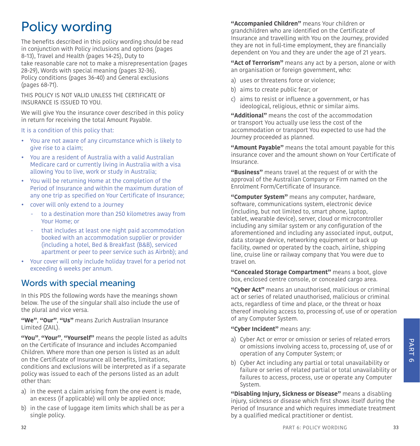# <span id="page-16-0"></span>Policy wording

The benefits described in this policy wording should be read in conjunction with Policy inclusions and options (pages [8-](#page-4-1)[13](#page-6-3)), Travel and Health (pages [14-](#page-7-0)[25\)](#page-12-0), Duty to take reasonable care not to make a misrepresentation (pages [28-](#page-14-3)[29\)](#page-14-5), Words with special meaning (pages [32-](#page-16-1)[36](#page-18-1)), Policy conditions (pages [36](#page-18-0)-[40\)](#page-20-1) and General exclusions (pages [68](#page-34-0)[-71](#page-35-1)).

THIS POLICY IS NOT VALID UNLESS THE CERTIFICATE OF INSURANCE IS ISSUED TO YOU.

We will give You the insurance cover described in this policy in return for receiving the total Amount Payable.

It is a condition of this policy that:

- You are not aware of any circumstance which is likely to give rise to a claim;
- You are a resident of Australia with a valid Australian Medicare card or currently living in Australia with a visa allowing You to live, work or study in Australia;
- You will be returning Home at the completion of the Period of Insurance and within the maximum duration of any one trip as specified on Your Certificate of Insurance;
- cover will only extend to a Journey
	- to a destination more than 250 kilometres away from Your Home; or
	- that includes at least one night paid accommodation booked with an accommodation supplier or provider (including a hotel, Bed & Breakfast (B&B), serviced apartment or peer to peer service such as Airbnb); and
- Your cover will only include holiday travel for a period not exceeding 6 weeks per annum.

# <span id="page-16-1"></span>Words with special meaning

In this PDS the following words have the meanings shown below. The use of the singular shall also include the use of the plural and vice versa.

**"We"**, **"Our"**, **"Us"** means Zurich Australian Insurance Limited (ZAIL).

**"You"**, **"Your"**, **"Yourself"** means the people listed as adults on the Certificate of Insurance and includes Accompanied Children. Where more than one person is listed as an adult on the Certificate of Insurance all benefits, limitations, conditions and exclusions will be interpreted as if a separate policy was issued to each of the persons listed as an adult other than:

- a) in the event a claim arising from the one event is made, an excess (if applicable) will only be applied once;
- b) in the case of luggage item limits which shall be as per a single policy.

**"Accompanied Children"** means Your children or grandchildren who are identified on the Certificate of Insurance and travelling with You on the Journey, provided they are not in full-time employment, they are financially dependent on You and they are under the age of 21 years.

**"Act of Terrorism"** means any act by a person, alone or with an organisation or foreign government, who:

- a) uses or threatens force or violence;
- b) aims to create public fear; or
- c) aims to resist or influence a government, or has ideological, religious, ethnic or similar aims.

**"Additional"** means the cost of the accommodation or transport You actually use less the cost of the accommodation or transport You expected to use had the Journey proceeded as planned.

**"Amount Payable"** means the total amount payable for this insurance cover and the amount shown on Your Certificate of Insurance.

**"Business"** means travel at the request of or with the approval of the Australian Company or Firm named on the Enrolment Form/Certificate of Insurance.

**"Computer System"** means any computer, hardware, software, communications system, electronic device (including, but not limited to, smart phone, laptop, tablet, wearable device), server, cloud or microcontroller including any similar system or any configuration of the aforementioned and including any associated input, output, data storage device, networking equipment or back up facility, owned or operated by the coach, airline, shipping line, cruise line or railway company that You were due to travel on.

**"Concealed Storage Compartment"** means a boot, glove box, enclosed centre console, or concealed cargo area.

**"Cyber Act"** means an unauthorised, malicious or criminal act or series of related unauthorised, malicious or criminal acts, regardless of time and place, or the threat or hoax thereof involving access to, processing of, use of or operation of any Computer System.

#### **"Cyber Incident"** means any:

- a) Cyber Act or error or omission or series of related errors or omissions involving access to, processing of, use of or operation of any Computer System; or
- b) Cyber Act including any partial or total unavailability or failure or series of related partial or total unavailability or failures to access, process, use or operate any Computer System.

**"Disabling Injury, Sickness or Disease"** means a disabling injury, sickness or disease which first shows itself during the Period of Insurance and which requires immediate treatment by a qualified medical practitioner or dentist.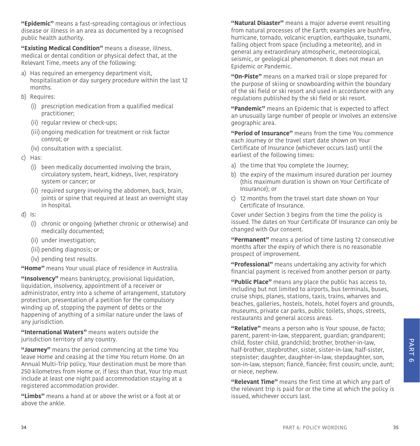**"Epidemic"** means a fast-spreading contagious or infectious disease or illness in an area as documented by a recognised public health authority.

**"Existing Medical Condition"** means a disease, illness, medical or dental condition or physical defect that, at the Relevant Time, meets any of the following:

- a) Has required an emergency department visit, hospitalisation or day surgery procedure within the last 12 months.
- b) Requires:
	- (i) prescription medication from a qualified medical practitioner;
	- (ii) regular review or check-ups;
	- (iii) ongoing medication for treatment or risk factor control; or
	- (iv) consultation with a specialist.
- c) Has:
	- (i) been medically documented involving the brain, circulatory system, heart, kidneys, liver, respiratory system or cancer; or
	- (ii) required surgery involving the abdomen, back, brain, joints or spine that required at least an overnight stay in hospital.
- d) Is:
	- (i) chronic or ongoing (whether chronic or otherwise) and medically documented;
	- (ii) under investigation;
	- (iii) pending diagnosis; or
	- (iv) pending test results.

**"Home"** means Your usual place of residence in Australia.

**"Insolvency"** means bankruptcy, provisional liquidation, liquidation, insolvency, appointment of a receiver or administrator, entry into a scheme of arrangement, statutory protection, presentation of a petition for the compulsory winding up of, stopping the payment of debts or the happening of anything of a similar nature under the laws of any jurisdiction.

**"International Waters"** means waters outside the jurisdiction territory of any country.

**"Journey"** means the period commencing at the time You leave Home and ceasing at the time You return Home. On an Annual Multi-Trip policy, Your destination must be more than 250 kilometres from Home or, if less than that, Your trip must include at least one night paid accommodation staying at a registered accommodation provider.

**"Limbs"** means a hand at or above the wrist or a foot at or above the ankle.

**"Natural Disaster"** means a major adverse event resulting from natural processes of the Earth; examples are bushfire, hurricane, tornado, volcanic eruption, earthquake, tsunami, falling object from space (including a meteorite), and in general any extraordinary atmospheric, meteorological, seismic, or geological phenomenon. It does not mean an Epidemic or Pandemic.

**"On-Piste"** means on a marked trail or slope prepared for the purpose of skiing or snowboarding within the boundary of the ski field or ski resort and used in accordance with any regulations published by the ski field or ski resort.

**"Pandemic"** means an Epidemic that is expected to affect an unusually large number of people or involves an extensive geographic area.

**"Period of Insurance"** means from the time You commence each Journey or the travel start date shown on Your Certificate of Insurance (whichever occurs last) until the earliest of the following times:

- a) the time that You complete the Journey;
- b) the expiry of the maximum insured duration per Journey (this maximum duration is shown on Your Certificate of Insurance); or
- c) 12 months from the travel start date shown on Your Certificate of Insurance.

Cover under Section 3 begins from the time the policy is issued. The dates on Your Certificate Of Insurance can only be changed with Our consent.

**"Permanent"** means a period of time lasting 12 consecutive months after the expiry of which there is no reasonable prospect of improvement.

**"Professional"** means undertaking any activity for which financial payment is received from another person or party.

**"Public Place"** means any place the public has access to, including but not limited to airports, bus terminals, buses, cruise ships, planes, stations, taxis, trains, wharves and beaches, galleries, hostels, hotels, hotel foyers and grounds, museums, private car parks, public toilets, shops, streets, restaurants and general access areas.

**"Relative"** means a person who is Your spouse, de facto; parent, parent-in-law, stepparent, guardian; grandparent; child, foster child, grandchild; brother, brother-in-law, half-brother, stepbrother, sister, sister-in-law, half-sister, stepsister; daughter, daughter-in-law, stepdaughter, son, son-in-law, stepson; fiancé, fiancée; first cousin; uncle, aunt; or niece, nephew.

**"Relevant Time"** means the first time at which any part of the relevant trip is paid for or the time at which the policy is issued, whichever occurs last.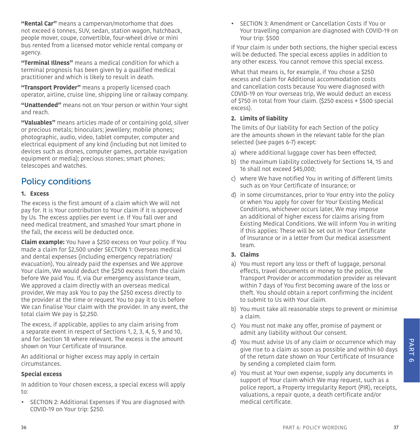**"Rental Car"** means a campervan/motorhome that does not exceed 6 tonnes, SUV, sedan, station wagon, hatchback, people mover, coupe, convertible, four-wheel drive or mini bus rented from a licensed motor vehicle rental company or agency.

**"Terminal Illness"** means a medical condition for which a terminal prognosis has been given by a qualified medical practitioner and which is likely to result in death.

**"Transport Provider"** means a properly licensed coach operator, airline, cruise line, shipping line or railway company.

**"Unattended"** means not on Your person or within Your sight and reach.

<span id="page-18-1"></span>**"Valuables"** means articles made of or containing gold, silver or precious metals; binoculars; jewellery; mobile phones; photographic, audio, video, tablet computer, computer and electrical equipment of any kind (including but not limited to devices such as drones, computer games, portable navigation equipment or media); precious stones; smart phones; telescopes and watches.

### <span id="page-18-0"></span>Policy conditions

#### **1. Excess**

The excess is the first amount of a claim which We will not pay for. It is Your contribution to Your claim if it is approved by Us. The excess applies per event i.e. If You fall over and need medical treatment, and smashed Your smart phone in the fall, the excess will be deducted once.

**Claim example:** You have a \$250 excess on Your policy. If You made a claim for \$2,500 under [SECTION 1: Overseas medical](#page-20-2)  [and dental expenses \(including emergency repatriation/](#page-20-2) [evacuation\)](#page-20-2), You already paid the expenses and We approve Your claim, We would deduct the \$250 excess from the claim before We paid You. If, via Our emergency assistance team, We approved a claim directly with an overseas medical provider, We may ask You to pay the \$250 excess directly to the provider at the time or request You to pay it to Us before We can finalise Your claim with the provider. In any event, the total claim We pay is \$2,250.

The excess, if applicable, applies to any claim arising from a separate event in respect of Sections 1, 2, 3, 4, 5, 9 and 10, and for Section 18 where relevant. The excess is the amount shown on Your Certificate of Insurance.

An additional or higher excess may apply in certain circumstances.

#### **Special excess**

In addition to Your chosen excess, a special excess will apply to:

• SECTION 2: Additional Expenses if You are diagnosed with COVID-19 on Your trip: \$250.

• SECTION 3: Amendment or Cancellation Costs if You or Your travelling companion are diagnosed with COVID-19 on Your trip: \$500

If Your claim is under both sections, the higher special excess will be deducted. The special excess applies in addition to any other excess. You cannot remove this special excess.

What that means is, for example, if You chose a \$250 excess and claim for Additional accommodation costs and cancellation costs because You were diagnosed with COVID-19 on Your overseas trip, We would deduct an excess of \$750 in total from Your claim. (\$250 excess + \$500 special excess).

#### **2. Limits of liability**

The limits of Our liability for each Section of the policy are the amounts shown in the relevant table for the plan selected (see pages 6-7) except:

- a) where additional luggage cover has been effected;
- b) the maximum liability collectively for Sections 14, 15 and 16 shall not exceed \$45,000;
- c) where We have notified You in writing of different limits such as on Your Certificate of Insurance; or
- d) in some circumstances, prior to Your entry into the policy or when You apply for cover for Your Existing Medical Conditions, whichever occurs later, We may impose an additional of higher excess for claims arising from Existing Medical Conditions. We will inform You in writing if this applies: These will be set out in Your Certificate of Insurance or in a letter from Our medical assessment team.
- **3. Claims**
- a) You must report any loss or theft of luggage, personal effects, travel documents or money to the police, the Transport Provider or accommodation provider as relevant within 7 days of You first becoming aware of the loss or theft. You should obtain a report confirming the incident to submit to Us with Your claim.
- b) You must take all reasonable steps to prevent or minimise a claim.
- c) You must not make any offer, promise of payment or admit any liability without Our consent.
- d) You must advise Us of any claim or occurrence which may give rise to a claim as soon as possible and within 60 days of the return date shown on Your Certificate of Insurance by sending a completed claim form.
- e) You must at Your own expense, supply any documents in support of Your claim which We may request, such as a police report, a Property Irregularity Report (PIR), receipts, valuations, a repair quote, a death certificate and/or medical certificate.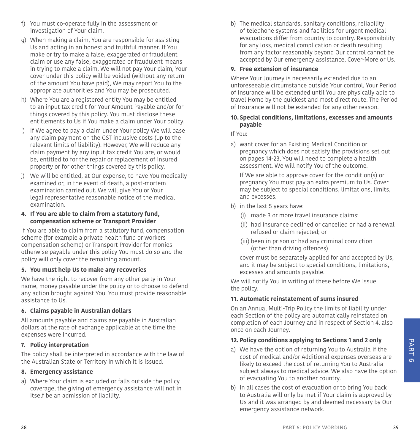- f) You must co-operate fully in the assessment or investigation of Your claim.
- g) When making a claim, You are responsible for assisting Us and acting in an honest and truthful manner. If You make or try to make a false, exaggerated or fraudulent claim or use any false, exaggerated or fraudulent means in trying to make a claim, We will not pay Your claim, Your cover under this policy will be voided (without any return of the amount You have paid), We may report You to the appropriate authorities and You may be prosecuted.
- h) Where You are a registered entity You may be entitled to an input tax credit for Your Amount Payable and/or for things covered by this policy. You must disclose these entitlements to Us if You make a claim under Your policy.
- i) If We agree to pay a claim under Your policy We will base any claim payment on the GST inclusive costs (up to the relevant limits of liability). However, We will reduce any claim payment by any input tax credit You are, or would be, entitled to for the repair or replacement of insured property or for other things covered by this policy.
- j) We will be entitled, at Our expense, to have You medically examined or, in the event of death, a post-mortem examination carried out. We will give You or Your legal representative reasonable notice of the medical examination.
- **4. If You are able to claim from a statutory fund, compensation scheme or Transport Provider**

If You are able to claim from a statutory fund, compensation scheme (for example a private health fund or workers compensation scheme) or Transport Provider for monies otherwise payable under this policy You must do so and the policy will only cover the remaining amount.

#### **5. You must help Us to make any recoveries**

We have the right to recover from any other party in Your name, money payable under the policy or to choose to defend any action brought against You. You must provide reasonable assistance to Us.

#### **6. Claims payable in Australian dollars**

All amounts payable and claims are payable in Australian dollars at the rate of exchange applicable at the time the expenses were incurred.

#### **7. Policy interpretation**

The policy shall be interpreted in accordance with the law of the Australian State or Territory in which it is issued.

#### **8. Emergency assistance**

a) Where Your claim is excluded or falls outside the policy coverage, the giving of emergency assistance will not in itself be an admission of liability.

b) The medical standards, sanitary conditions, reliability of telephone systems and facilities for urgent medical evacuations differ from country to country. Responsibility for any loss, medical complication or death resulting from any factor reasonably beyond Our control cannot be accepted by Our emergency assistance, Cover-More or Us.

#### <span id="page-19-0"></span>**9. Free extension of insurance**

Where Your Journey is necessarily extended due to an unforeseeable circumstance outside Your control, Your Period of Insurance will be extended until You are physically able to travel Home by the quickest and most direct route. The Period of Insurance will not be extended for any other reason.

#### **10. Special conditions, limitations, excesses and amounts payable**

If You:

a) want cover for an Existing Medical Condition or pregnancy which does not satisfy the provisions set out on pages [14-](#page-7-0)[23,](#page-11-1) You will need to complete a health assessment. We will notify You of the outcome.

If We are able to approve cover for the condition(s) or pregnancy You must pay an extra premium to Us. Cover may be subject to special conditions, limitations, limits, and excesses.

- b) in the last 5 years have:
	- (i) made 3 or more travel insurance claims;
	- (ii) had insurance declined or cancelled or had a renewal refused or claim rejected; or
	- (iii) been in prison or had any criminal conviction (other than driving offences)

cover must be separately applied for and accepted by Us, and it may be subject to special conditions, limitations, excesses and amounts payable.

We will notify You in writing of these before We issue the policy.

#### **11. Automatic reinstatement of sums insured**

On an Annual Multi-Trip Policy the limits of liability under each Section of the policy are automatically reinstated on completion of each Journey and in respect of Section 4, also once on each Journey.

#### **12. Policy conditions applying to Sections 1 and 2 only**

- a) We have the option of returning You to Australia if the cost of medical and/or Additional expenses overseas are likely to exceed the cost of returning You to Australia subject always to medical advice. We also have the option of evacuating You to another country.
- b) In all cases the cost of evacuation or to bring You back to Australia will only be met if Your claim is approved by Us and it was arranged by and deemed necessary by Our emergency assistance network.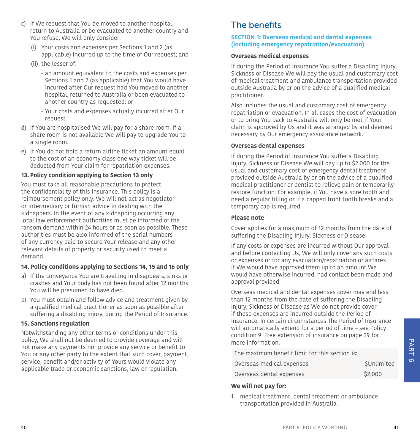- c) If We request that You be moved to another hospital, return to Australia or be evacuated to another country and You refuse, We will only consider:
	- (i) Your costs and expenses per Sections 1 and 2 (as applicable) incurred up to the time of Our request; and
	- (ii) the lesser of:
		- an amount equivalent to the costs and expenses per Sections 1 and 2 (as applicable) that You would have incurred after Our request had You moved to another hospital, returned to Australia or been evacuated to another country as requested; or
		- Your costs and expenses actually incurred after Our request.
- d) If You are hospitalised We will pay for a share room. If a share room is not available We will pay to upgrade You to a single room.
- e) If You do not hold a return airline ticket an amount equal to the cost of an economy class one way ticket will be deducted from Your claim for repatriation expenses.

#### **13. Policy condition applying to Section 13 only**

You must take all reasonable precautions to protect the confidentiality of this insurance. This policy is a reimbursement policy only. We will not act as negotiator or intermediary or furnish advice in dealing with the kidnappers. In the event of any kidnapping occurring any local law enforcement authorities must be informed of the ransom demand within 24 hours or as soon as possible. These authorities must be also informed of the serial numbers of any currency paid to secure Your release and any other relevant details of property or security used to meet a demand.

#### **14. Policy conditions applying to Sections 14, 15 and 16 only**

- a) If the conveyance You are travelling in disappears, sinks or crashes and Your body has not been found after 12 months You will be presumed to have died.
- b) You must obtain and follow advice and treatment given by a qualified medical practitioner as soon as possible after suffering a disabling injury, during the Period of Insurance.

#### **15. Sanctions regulation**

<span id="page-20-1"></span>Notwithstanding any other terms or conditions under this policy, We shall not be deemed to provide coverage and will not make any payments nor provide any service or benefit to You or any other party to the extent that such cover, payment, service, benefit and/or activity of Yours would violate any applicable trade or economic sanctions, law or regulation.

### <span id="page-20-0"></span>The benefits

#### <span id="page-20-2"></span>**SECTION 1: Overseas medical and dental expenses (including emergency repatriation/evacuation)**

#### **Overseas medical expenses**

If during the Period of Insurance You suffer a Disabling Injury, Sickness or Disease We will pay the usual and customary cost of medical treatment and ambulance transportation provided outside Australia by or on the advice of a qualified medical practitioner.

Also includes the usual and customary cost of emergency repatriation or evacuation. In all cases the cost of evacuation or to bring You back to Australia will only be met if Your claim is approved by Us and it was arranged by and deemed necessary by Our emergency assistance network.

#### **Overseas dental expenses**

If during the Period of Insurance You suffer a Disabling Injury, Sickness or Disease We will pay up to \$2,000 for the usual and customary cost of emergency dental treatment provided outside Australia by or on the advice of a qualified medical practitioner or dentist to relieve pain or temporarily restore function. For example, if You have a sore tooth and need a regular filling or if a capped front tooth breaks and a temporary cap is required.

#### **Please note**

Cover applies for a maximum of 12 months from the date of suffering the Disabling Injury, Sickness or Disease.

If any costs or expenses are incurred without Our approval and before contacting Us, We will only cover any such costs or expenses or for any evacuation/repatriation or airfares if We would have approved them up to an amount We would have otherwise incurred, had contact been made and approval provided.

Overseas medical and dental expenses cover may end less than 12 months from the date of suffering the Disabling Injury, Sickness or Disease as We do not provide cover if these expenses are incurred outside the Period of Insurance. In certain circumstances The Period of Insurance will automatically extend for a period of time – see Policy condition [9. Free extension of insurance on page 39](#page-19-0) for more information.

The maximum benefit limit for this section is:

| Overseas medical expenses | SUnlimited |
|---------------------------|------------|
| Overseas dental expenses  | \$2,000    |

#### **We will not pay for:**

1. medical treatment, dental treatment or ambulance transportation provided in Australia.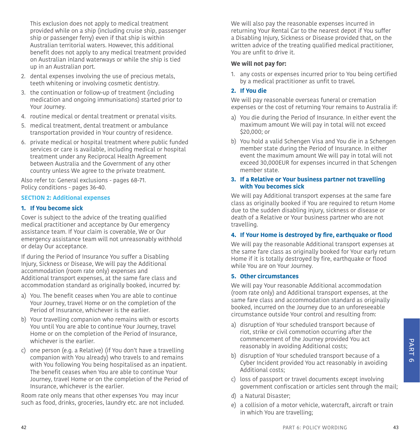This exclusion does not apply to medical treatment provided while on a ship (including cruise ship, passenger ship or passenger ferry) even if that ship is within Australian territorial waters. However, this additional benefit does not apply to any medical treatment provided on Australian inland waterways or while the ship is tied up in an Australian port.

- 2. dental expenses involving the use of precious metals, teeth whitening or involving cosmetic dentistry.
- 3. the continuation or follow-up of treatment (including medication and ongoing immunisations) started prior to Your Journey.
- 4. routine medical or dental treatment or prenatal visits.
- 5. medical treatment, dental treatment or ambulance transportation provided in Your country of residence.
- 6. private medical or hospital treatment where public funded services or care is available, including medical or hospital treatment under any Reciprocal Health Agreement between Australia and the Government of any other country unless We agree to the private treatment.

Also refer to: General exclusions - pages [68](#page-34-0)[-71](#page-35-1). Policy conditions - pages [36](#page-18-0)[-40.](#page-20-1)

#### **SECTION 2: Additional expenses**

#### **1. If You become sick**

Cover is subject to the advice of the treating qualified medical practitioner and acceptance by Our emergency assistance team. If Your claim is coverable, We or Our emergency assistance team will not unreasonably withhold or delay Our acceptance.

If during the Period of Insurance You suffer a Disabling Injury, Sickness or Disease, We will pay the Additional accommodation (room rate only) expenses and Additional transport expenses, at the same fare class and accommodation standard as originally booked, incurred by:

- a) You. The benefit ceases when You are able to continue Your Journey, travel Home or on the completion of the Period of Insurance, whichever is the earlier.
- b) Your travelling companion who remains with or escorts You until You are able to continue Your Journey, travel Home or on the completion of the Period of Insurance, whichever is the earlier.
- c) one person (e.g. a Relative) (if You don't have a travelling companion with You already) who travels to and remains with You following You being hospitalised as an inpatient. The benefit ceases when You are able to continue Your Journey, travel Home or on the completion of the Period of Insurance, whichever is the earlier.

Room rate only means that other expenses You may incur such as food, drinks, groceries, laundry etc. are not included. We will also pay the reasonable expenses incurred in returning Your Rental Car to the nearest depot if You suffer a Disabling Injury, Sickness or Disease provided that, on the written advice of the treating qualified medical practitioner, You are unfit to drive it.

#### **We will not pay for:**

1. any costs or expenses incurred prior to You being certified by a medical practitioner as unfit to travel.

#### <span id="page-21-0"></span>**2. If You die**

We will pay reasonable overseas funeral or cremation expenses or the cost of returning Your remains to Australia if:

- a) You die during the Period of Insurance. In either event the maximum amount We will pay in total will not exceed \$20,000; or
- b) You hold a valid Schengen Visa and You die in a Schengen member state during the Period of Insurance. In either event the maximum amount We will pay in total will not exceed 30,000EUR for expenses incurred in that Schengen member state.

#### **3. If a Relative or Your business partner not travelling with You becomes sick**

We will pay Additional transport expenses at the same fare class as originally booked if You are required to return Home due to the sudden disabling injury, sickness or disease or death of a Relative or Your business partner who are not travelling.

#### **4. If Your Home is destroyed by fire, earthquake or flood**

We will pay the reasonable Additional transport expenses at the same fare class as originally booked for Your early return Home if it is totally destroyed by fire, earthquake or flood while You are on Your Journey.

#### **5. Other circumstances**

We will pay Your reasonable Additional accommodation (room rate only) and Additional transport expenses, at the same fare class and accommodation standard as originally booked, incurred on the Journey due to an unforeseeable circumstance outside Your control and resulting from:

- a) disruption of Your scheduled transport because of riot, strike or civil commotion occurring after the commencement of the Journey provided You act reasonably in avoiding Additional costs;
- b) disruption of Your scheduled transport because of a Cyber Incident provided You act reasonably in avoiding Additional costs;
- c) loss of passport or travel documents except involving government confiscation or articles sent through the mail;
- d) a Natural Disaster;
- e) a collision of a motor vehicle, watercraft, aircraft or train in which You are travelling;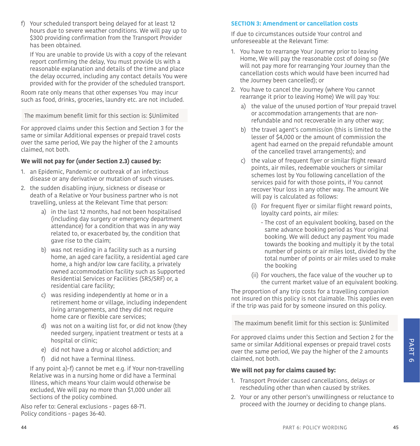f) Your scheduled transport being delayed for at least 12 hours due to severe weather conditions. We will pay up to \$300 providing confirmation from the Transport Provider has been obtained.

If You are unable to provide Us with a copy of the relevant report confirming the delay, You must provide Us with a reasonable explanation and details of the time and place the delay occurred, including any contact details You were provided with for the provider of the scheduled transport.

Room rate only means that other expenses You may incur such as food, drinks, groceries, laundry etc. are not included.

The maximum benefit limit for this section is: \$Unlimited

For approved claims under this Section and Section 3 for the same or similar Additional expenses or prepaid travel costs over the same period, We pay the higher of the 2 amounts claimed, not both.

#### **We will not pay for (under Section 2.3) caused by:**

- <span id="page-22-0"></span>1. an Epidemic, Pandemic or outbreak of an infectious disease or any derivative or mutation of such viruses.
- 2. the sudden disabling injury, sickness or disease or death of a Relative or Your business partner who is not travelling, unless at the Relevant Time that person:
	- a) in the last 12 months, had not been hospitalised (including day surgery or emergency department attendance) for a condition that was in any way related to, or exacerbated by, the condition that gave rise to the claim;
	- b) was not residing in a facility such as a nursing home, an aged care facility, a residential aged care home, a high and/or low care facility, a privately owned accommodation facility such as Supported Residential Services or Facilities (SRS/SRF) or, a residential care facility;
	- c) was residing independently at home or in a retirement home or village, including independent living arrangements, and they did not require home care or flexible care services;
	- d) was not on a waiting list for, or did not know (they needed surgery, inpatient treatment or tests at a hospital or clinic;
	- e) did not have a drug or alcohol addiction; and
	- f) did not have a Terminal Illness.

If any point a)-f) cannot be met e.g. if Your non-travelling Relative was in a nursing home or did have a Terminal Illness, which means Your claim would otherwise be excluded, We will pay no more than \$1,000 under all Sections of the policy combined.

Also refer to: General exclusions - pages [68](#page-34-0)[-71](#page-35-1). Policy conditions - pages [36](#page-18-0)-[40.](#page-20-1)

#### **SECTION 3: Amendment or cancellation costs**

If due to circumstances outside Your control and unforeseeable at the Relevant Time:

- 1. You have to rearrange Your Journey prior to leaving Home, We will pay the reasonable cost of doing so (We will not pay more for rearranging Your Journey than the cancellation costs which would have been incurred had the Journey been cancelled); or
- 2. You have to cancel the Journey (where You cannot rearrange it prior to leaving Home) We will pay You:
	- a) the value of the unused portion of Your prepaid travel or accommodation arrangements that are nonrefundable and not recoverable in any other way;
	- b) the travel agent's commission (this is limited to the lesser of \$4,000 or the amount of commission the agent had earned on the prepaid refundable amount of the cancelled travel arrangements); and
	- c) the value of frequent flyer or similar flight reward points, air miles, redeemable vouchers or similar schemes lost by You following cancellation of the services paid for with those points, if You cannot recover Your loss in any other way. The amount We will pay is calculated as follows:
		- (i) For frequent flyer or similar flight reward points, loyalty card points, air miles:
			- The cost of an equivalent booking, based on the same advance booking period as Your original booking. We will deduct any payment You made towards the booking and multiply it by the total number of points or air miles lost, divided by the total number of points or air miles used to make the booking
		- (ii) For vouchers, the face value of the voucher up to the current market value of an equivalent booking.

The proportion of any trip costs for a travelling companion not insured on this policy is not claimable. This applies even if the trip was paid for by someone insured on this policy.

The maximum benefit limit for this section is: \$Unlimited

For approved claims under this Section and Section 2 for the same or similar Additional expenses or prepaid travel costs over the same period, We pay the higher of the 2 amounts claimed, not both.

#### **We will not pay for claims caused by:**

- 1. Transport Provider caused cancellations, delays or rescheduling other than when caused by strikes.
- 2. Your or any other person's unwillingness or reluctance to proceed with the Journey or deciding to change plans.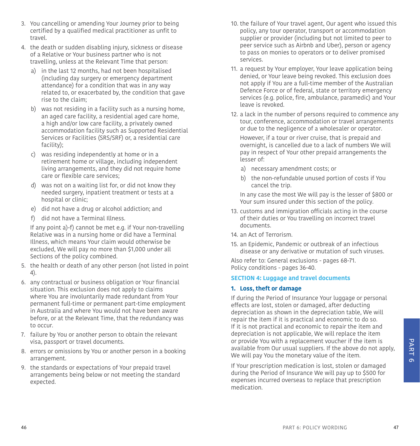- 3. You cancelling or amending Your Journey prior to being certified by a qualified medical practitioner as unfit to travel.
- <span id="page-23-2"></span>4. the death or sudden disabling injury, sickness or disease of a Relative or Your business partner who is not travelling, unless at the Relevant Time that person:
	- a) in the last 12 months, had not been hospitalised (including day surgery or emergency department attendance) for a condition that was in any way related to, or exacerbated by, the condition that gave rise to the claim;
	- b) was not residing in a facility such as a nursing home, an aged care facility, a residential aged care home, a high and/or low care facility, a privately owned accommodation facility such as Supported Residential Services or Facilities (SRS/SRF) or, a residential care facility);
	- c) was residing independently at home or in a retirement home or village, including independent living arrangements, and they did not require home care or flexible care services;
	- d) was not on a waiting list for, or did not know they needed surgery, inpatient treatment or tests at a hospital or clinic;
	- e) did not have a drug or alcohol addiction; and
	- f) did not have a Terminal Illness.

If any point a)-f) cannot be met e.g. if Your non-travelling Relative was in a nursing home or did have a Terminal Illness, which means Your claim would otherwise be excluded, We will pay no more than \$1,000 under all Sections of the policy combined.

- 5. the health or death of any other person (not listed in point 4).
- 6. any contractual or business obligation or Your financial situation. This exclusion does not apply to claims where You are involuntarily made redundant from Your permanent full-time or permanent part-time employment in Australia and where You would not have been aware before, or at the Relevant Time, that the redundancy was to occur.
- 7. failure by You or another person to obtain the relevant visa, passport or travel documents.
- 8. errors or omissions by You or another person in a booking arrangement.
- 9. the standards or expectations of Your prepaid travel arrangements being below or not meeting the standard expected.
- 10. the failure of Your travel agent, Our agent who issued this policy, any tour operator, transport or accommodation supplier or provider (including but not limited to peer to peer service such as Airbnb and Uber), person or agency to pass on monies to operators or to deliver promised services.
- 11. a request by Your employer, Your leave application being denied, or Your leave being revoked. This exclusion does not apply if You are a full-time member of the Australian Defence Force or of federal, state or territory emergency services (e.g. police, fire, ambulance, paramedic) and Your leave is revoked.
- 12. a lack in the number of persons required to commence any tour, conference, accommodation or travel arrangements or due to the negligence of a wholesaler or operator.

However, if a tour or river cruise, that is prepaid and overnight, is cancelled due to a lack of numbers We will pay in respect of Your other prepaid arrangements the lesser of:

- a) necessary amendment costs; or
- b) the non-refundable unused portion of costs if You cancel the trip.

In any case the most We will pay is the lesser of \$800 or Your sum insured under this section of the policy.

- 13. customs and immigration officials acting in the course of their duties or You travelling on incorrect travel documents.
- 14. an Act of Terrorism.
- <span id="page-23-1"></span>15. an Epidemic, Pandemic or outbreak of an infectious disease or any derivative or mutation of such viruses.

Also refer to: General exclusions - pages [68](#page-34-0)-[71](#page-35-1). Policy conditions - pages [36](#page-18-0)-[40.](#page-20-1)

#### <span id="page-23-0"></span>**SECTION 4: Luggage and travel documents**

#### **1. Loss, theft or damage**

If during the Period of Insurance Your luggage or personal effects are lost, stolen or damaged, after deducting depreciation as shown in the depreciation table, We will repair the item if it is practical and economic to do so. If it is not practical and economic to repair the item and depreciation is not applicable, We will replace the item or provide You with a replacement voucher if the item is available from Our usual suppliers. If the above do not apply, We will pay You the monetary value of the item.

If Your prescription medication is lost, stolen or damaged during the Period of Insurance We will pay up to \$500 for expenses incurred overseas to replace that prescription medication.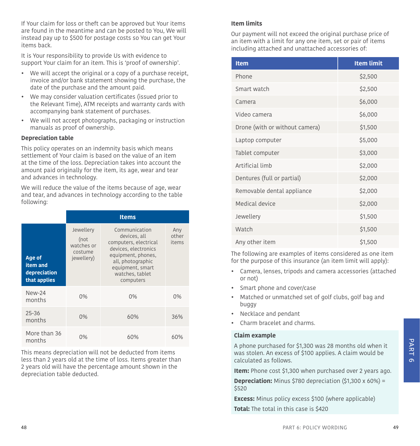If Your claim for loss or theft can be approved but Your items are found in the meantime and can be posted to You, We will instead pay up to \$500 for postage costs so You can get Your items back.

It is Your responsibility to provide Us with evidence to support Your claim for an item. This is 'proof of ownership'.

- We will accept the original or a copy of a purchase receipt, invoice and/or bank statement showing the purchase, the date of the purchase and the amount paid.
- We may consider valuation certificates (issued prior to the Relevant Time), ATM receipts and warranty cards with accompanying bank statement of purchases.
- We will not accept photographs, packaging or instruction manuals as proof of ownership.

#### **Depreciation table**

This policy operates on an indemnity basis which means settlement of Your claim is based on the value of an item at the time of the loss. Depreciation takes into account the amount paid originally for the item, its age, wear and tear and advances in technology.

We will reduce the value of the items because of age, wear and tear, and advances in technology according to the table following:

|                                                    | <b>Items</b>                                             |                                                                                                                                                                               |                       |
|----------------------------------------------------|----------------------------------------------------------|-------------------------------------------------------------------------------------------------------------------------------------------------------------------------------|-----------------------|
| Age of<br>item and<br>depreciation<br>that applies | Jewellery<br>(not<br>watches or<br>costume<br>jewellery) | Communication<br>devices, all<br>computers, electrical<br>devices, electronics<br>equipment, phones,<br>all, photographic<br>equipment, smart<br>watches, tablet<br>computers | Any<br>other<br>items |
| $New-24$<br>months                                 | 0%                                                       | 0%                                                                                                                                                                            | 0%                    |
| $25 - 36$<br>months                                | $0\%$                                                    | 60%                                                                                                                                                                           | 36%                   |
| More than 36<br>months                             | በ%                                                       | 60%                                                                                                                                                                           | 60%                   |

This means depreciation will not be deducted from items less than 2 years old at the time of loss. Items greater than 2 years old will have the percentage amount shown in the depreciation table deducted.

#### **Item limits**

Our payment will not exceed the original purchase price of an item with a limit for any one item, set or pair of items including attached and unattached accessories of:

| <b>Item</b>                    | <b>Item limit</b> |
|--------------------------------|-------------------|
| Phone                          | \$2,500           |
| Smart watch                    | \$2,500           |
| Camera                         | \$6,000           |
| Video camera                   | \$6,000           |
| Drone (with or without camera) | \$1,500           |
| Laptop computer                | \$5,000           |
| Tablet computer                | \$3,000           |
| Artificial limb                | \$2,000           |
| Dentures (full or partial)     | \$2,000           |
| Removable dental appliance     | \$2,000           |
| Medical device                 | \$2,000           |
| Jewellery                      | \$1,500           |
| Watch                          | \$1,500           |
| Any other item                 | \$1,500           |

The following are examples of items considered as one item for the purpose of this insurance (an item limit will apply):

- Camera, lenses, tripods and camera accessories (attached or not)
- Smart phone and cover/case
- Matched or unmatched set of golf clubs, golf bag and buggy
- Necklace and pendant
- Charm bracelet and charms.

#### **Claim example**

A phone purchased for \$1,300 was 28 months old when it was stolen. An excess of \$100 applies. A claim would be calculated as follows.

**Item:** Phone cost \$1,300 when purchased over 2 years ago.

**Depreciation:** Minus \$780 depreciation (\$1,300 x 60%) = \$520

**Excess:** Minus policy excess \$100 (where applicable)

**Total:** The total in this case is \$420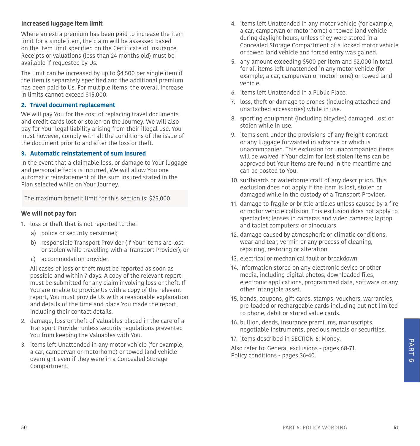#### **Increased luggage item limit**

Where an extra premium has been paid to increase the item limit for a single item, the claim will be assessed based on the item limit specified on the Certificate of Insurance. Receipts or valuations (less than 24 months old) must be available if requested by Us.

The limit can be increased by up to \$4,500 per single item if the item is separately specified and the additional premium has been paid to Us. For multiple items, the overall increase in limits cannot exceed \$15,000.

#### **2. Travel document replacement**

We will pay You for the cost of replacing travel documents and credit cards lost or stolen on the Journey. We will also pay for Your legal liability arising from their illegal use. You must however, comply with all the conditions of the issue of the document prior to and after the loss or theft.

#### **3. Automatic reinstatement of sum insured**

In the event that a claimable loss, or damage to Your luggage and personal effects is incurred, We will allow You one automatic reinstatement of the sum insured stated in the Plan selected while on Your Journey.

The maximum benefit limit for this section is: \$25,000

#### **We will not pay for:**

- 1. loss or theft that is not reported to the:
	- a) police or security personnel;
	- b) responsible Transport Provider (if Your items are lost or stolen while travelling with a Transport Provider); or
	- c) accommodation provider.

All cases of loss or theft must be reported as soon as possible and within 7 days. A copy of the relevant report must be submitted for any claim involving loss or theft. If You are unable to provide Us with a copy of the relevant report, You must provide Us with a reasonable explanation and details of the time and place You made the report, including their contact details.

- 2. damage, loss or theft of Valuables placed in the care of a Transport Provider unless security regulations prevented You from keeping the Valuables with You.
- 3. items left Unattended in any motor vehicle (for example, a car, campervan or motorhome) or towed land vehicle overnight even if they were in a Concealed Storage Compartment.
- 4. items left Unattended in any motor vehicle (for example, a car, campervan or motorhome) or towed land vehicle during daylight hours, unless they were stored in a Concealed Storage Compartment of a locked motor vehicle or towed land vehicle and forced entry was gained.
- 5. any amount exceeding \$500 per item and \$2,000 in total for all items left Unattended in any motor vehicle (for example, a car, campervan or motorhome) or towed land vehicle.
- 6. items left Unattended in a Public Place.
- 7. loss, theft or damage to drones (including attached and unattached accessories) while in use.
- 8. sporting equipment (including bicycles) damaged, lost or stolen while in use.
- 9. items sent under the provisions of any freight contract or any luggage forwarded in advance or which is unaccompanied. This exclusion for unaccompanied items will be waived if Your claim for lost stolen items can be approved but Your items are found in the meantime and can be posted to You.
- 10. surfboards or waterborne craft of any description. This exclusion does not apply if the item is lost, stolen or damaged while in the custody of a Transport Provider.
- 11. damage to fragile or brittle articles unless caused by a fire or motor vehicle collision. This exclusion does not apply to spectacles; lenses in cameras and video cameras; laptop and tablet computers; or binoculars.
- 12. damage caused by atmospheric or climatic conditions, wear and tear, vermin or any process of cleaning, repairing, restoring or alteration.
- 13. electrical or mechanical fault or breakdown.
- 14. information stored on any electronic device or other media, including digital photos, downloaded files, electronic applications, programmed data, software or any other intangible asset.
- 15. bonds, coupons, gift cards, stamps, vouchers, warranties, pre-loaded or rechargeable cards including but not limited to phone, debit or stored value cards.
- 16. bullion, deeds, insurance premiums, manuscripts, negotiable instruments, precious metals or securities.
- 17. items described in [SECTION 6: Money.](#page-26-0)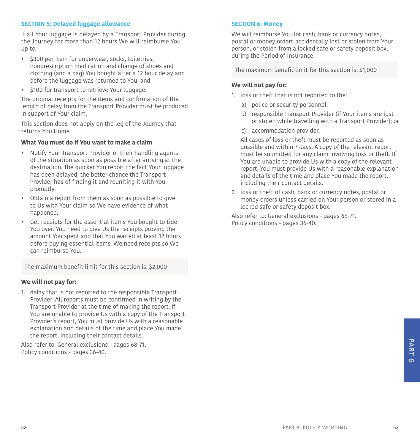#### **SECTION 5: Delayed luggage allowance**

If all Your luggage is delayed by a Transport Provider during the Journey for more than 12 hours We will reimburse You up to:

- \$300 per item for underwear, socks, toiletries, nonprescription medication and change of shoes and clothing (and a bag) You bought after a 12 hour delay and before the luggage was returned to You; and
- \$100 for transport to retrieve Your luggage.

The original receipts for the items and confirmation of the length of delay from the Transport Provider must be produced in support of Your claim.

This section does not apply on the leg of the Journey that returns You Home.

#### **What You must do if You want to make a claim**

- Notify Your Transport Provider or their handling agents of the situation as soon as possible after arriving at the destination. The quicker You report the fact Your luggage has been delayed, the better chance the Transport Provider has of finding it and reuniting it with You promptly.
- Obtain a report from them as soon as possible to give to Us with Your claim so We have evidence of what happened.
- Get receipts for the essential items You bought to tide You over. You need to give Us the receipts proving the amount You spent and that You waited at least 12 hours before buying essential items. We need receipts so We can reimburse You.

The maximum benefit limit for this section is: \$2,000

#### **We will not pay for:**

1. delay that is not reported to the responsible Transport Provider. All reports must be confirmed in writing by the Transport Provider at the time of making the report. If You are unable to provide Us with a copy of the Transport Provider's report, You must provide Us with a reasonable explanation and details of the time and place You made the report, including their contact details.

Also refer to: General exclusions - pages [68](#page-34-0)[-71](#page-35-1). Policy conditions - pages [36](#page-18-0)[-40.](#page-20-1)

#### <span id="page-26-0"></span>**SECTION 6: Money**

We will reimburse You for cash, bank or currency notes, postal or money orders accidentally lost or stolen from Your person, or stolen from a locked safe or safety deposit box, during the Period of Insurance.

The maximum benefit limit for this section is: \$1,000

#### **We will not pay for:**

- 1. loss or theft that is not reported to the:
	- a) police or security personnel;
	- b) responsible Transport Provider (if Your items are lost or stolen while travelling with a Transport Provider); or
	- c) accommodation provider.

All cases of loss or theft must be reported as soon as possible and within 7 days. A copy of the relevant report must be submitted for any claim involving loss or theft. If You are unable to provide Us with a copy of the relevant report, You must provide Us with a reasonable explanation and details of the time and place You made the report, including their contact details.

2. loss or theft of cash, bank or currency notes, postal or money orders unless carried on Your person or stored in a locked safe or safety deposit box.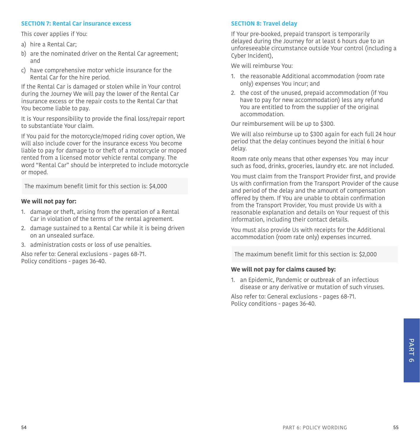#### **SECTION 7: Rental Car insurance excess**

This cover applies if You:

- a) hire a Rental Car;
- b) are the nominated driver on the Rental Car agreement: and
- c) have comprehensive motor vehicle insurance for the Rental Car for the hire period.

If the Rental Car is damaged or stolen while in Your control during the Journey We will pay the lower of the Rental Car insurance excess or the repair costs to the Rental Car that You become liable to pay.

It is Your responsibility to provide the final loss/repair report to substantiate Your claim.

If You paid for the motorcycle/moped riding cover option, We will also include cover for the insurance excess You become liable to pay for damage to or theft of a motorcycle or moped rented from a licensed motor vehicle rental company. The word "Rental Car" should be interpreted to include motorcycle or moped.

The maximum benefit limit for this section is: \$4,000

#### **We will not pay for:**

- 1. damage or theft, arising from the operation of a Rental Car in violation of the terms of the rental agreement.
- 2. damage sustained to a Rental Car while it is being driven on an unsealed surface.
- 3. administration costs or loss of use penalties.

Also refer to: General exclusions - pages [68](#page-34-0)[-71](#page-35-1). Policy conditions - pages [36](#page-18-0)[-40.](#page-20-1)

#### **SECTION 8: Travel delay**

If Your pre-booked, prepaid transport is temporarily delayed during the Journey for at least 6 hours due to an unforeseeable circumstance outside Your control (including a Cyber Incident),

We will reimburse You:

- 1. the reasonable Additional accommodation (room rate only) expenses You incur; and
- 2. the cost of the unused, prepaid accommodation (if You have to pay for new accommodation) less any refund You are entitled to from the supplier of the original accommodation.

Our reimbursement will be up to \$300.

We will also reimburse up to \$300 again for each full 24 hour period that the delay continues beyond the initial 6 hour delay.

Room rate only means that other expenses You may incur such as food, drinks, groceries, laundry etc. are not included.

You must claim from the Transport Provider first, and provide Us with confirmation from the Transport Provider of the cause and period of the delay and the amount of compensation offered by them. If You are unable to obtain confirmation from the Transport Provider, You must provide Us with a reasonable explanation and details on Your request of this information, including their contact details.

You must also provide Us with receipts for the Additional accommodation (room rate only) expenses incurred.

The maximum benefit limit for this section is: \$2,000

#### **We will not pay for claims caused by:**

<span id="page-27-0"></span>1. an Epidemic, Pandemic or outbreak of an infectious disease or any derivative or mutation of such viruses.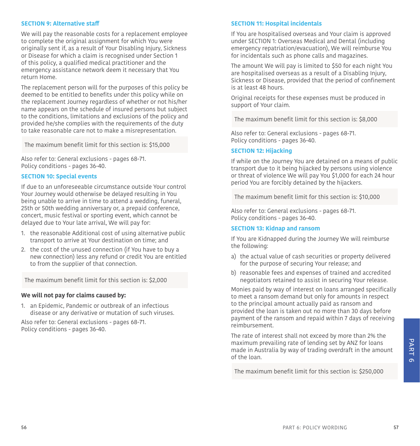#### **SECTION 9: Alternative staff**

We will pay the reasonable costs for a replacement employee to complete the original assignment for which You were originally sent if, as a result of Your Disabling Injury, Sickness or Disease for which a claim is recognised under Section 1 of this policy, a qualified medical practitioner and the emergency assistance network deem it necessary that You return Home.

The replacement person will for the purposes of this policy be deemed to be entitled to benefits under this policy while on the replacement Journey regardless of whether or not his/her name appears on the schedule of insured persons but subject to the conditions, limitations and exclusions of the policy and provided he/she complies with the requirements of the duty to take reasonable care not to make a misrepresentation.

The maximum benefit limit for this section is: \$15,000

Also refer to: General exclusions - pages [68](#page-34-0)[-71](#page-35-1). Policy conditions - pages [36](#page-18-0)[-40.](#page-20-1)

#### **SECTION 10: Special events**

If due to an unforeseeable circumstance outside Your control Your Journey would otherwise be delayed resulting in You being unable to arrive in time to attend a wedding, funeral, 25th or 50th wedding anniversary or, a prepaid conference, concert, music festival or sporting event, which cannot be delayed due to Your late arrival, We will pay for:

- 1. the reasonable Additional cost of using alternative public transport to arrive at Your destination on time; and
- 2. the cost of the unused connection (if You have to buy a new connection) less any refund or credit You are entitled to from the supplier of that connection.

The maximum benefit limit for this section is: \$2,000

#### **We will not pay for claims caused by:**

<span id="page-28-0"></span>1. an Epidemic, Pandemic or outbreak of an infectious disease or any derivative or mutation of such viruses.

Also refer to: General exclusions - pages [68](#page-34-0)[-71](#page-35-1). Policy conditions - pages [36](#page-18-0)[-40.](#page-20-1)

#### **SECTION 11: Hospital incidentals**

If You are hospitalised overseas and Your claim is approved under SECTION 1: Overseas Medical and Dental (including emergency repatriation/evacuation), We will reimburse You for incidentals such as phone calls and magazines.

The amount We will pay is limited to \$50 for each night You are hospitalised overseas as a result of a Disabling Injury, Sickness or Disease, provided that the period of confinement is at least 48 hours.

Original receipts for these expenses must be produced in support of Your claim.

The maximum benefit limit for this section is: \$8,000

Also refer to: General exclusions - pages [68](#page-34-0)[-71](#page-35-1). Policy conditions - pages [36](#page-18-0)-[40.](#page-20-1)

#### **SECTION 12: Hijacking**

If while on the Journey You are detained on a means of public transport due to it being hijacked by persons using violence or threat of violence We will pay You \$1,000 for each 24 hour period You are forcibly detained by the hijackers.

The maximum benefit limit for this section is: \$10,000

Also refer to: General exclusions - pages [68](#page-34-0)[-71](#page-35-1). Policy conditions - pages [36](#page-18-0)-[40.](#page-20-1)

#### **SECTION 13: Kidnap and ransom**

If You are Kidnapped during the Journey We will reimburse the following:

- a) the actual value of cash securities or property delivered for the purpose of securing Your release; and
- b) reasonable fees and expenses of trained and accredited negotiators retained to assist in securing Your release.

Monies paid by way of interest on loans arranged specifically to meet a ransom demand but only for amounts in respect to the principal amount actually paid as ransom and provided the loan is taken out no more than 30 days before payment of the ransom and repaid within 7 days of receiving reimbursement.

The rate of interest shall not exceed by more than 2% the maximum prevailing rate of lending set by ANZ for loans made in Australia by way of trading overdraft in the amount of the loan.

The maximum benefit limit for this section is: \$250,000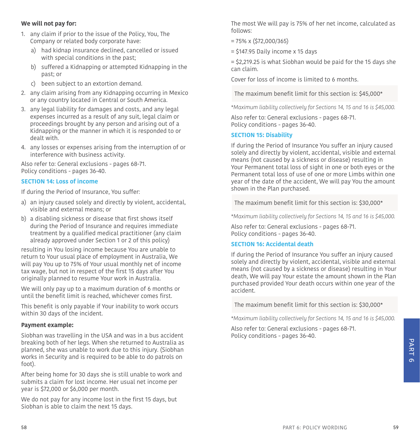#### **We will not pay for:**

- 1. any claim if prior to the issue of the Policy, You, The Company or related body corporate have:
	- a) had kidnap insurance declined, cancelled or issued with special conditions in the past;
	- b) suffered a Kidnapping or attempted Kidnapping in the past; or
	- c) been subject to an extortion demand.
- 2. any claim arising from any Kidnapping occurring in Mexico or any country located in Central or South America.
- 3. any legal liability for damages and costs, and any legal expenses incurred as a result of any suit, legal claim or proceedings brought by any person and arising out of a Kidnapping or the manner in which it is responded to or dealt with.
- 4. any losses or expenses arising from the interruption of or interference with business activity.

Also refer to: General exclusions - pages [68](#page-34-0)[-71](#page-35-1). Policy conditions - pages [36](#page-18-0)[-40.](#page-20-1)

#### **SECTION 14: Loss of income**

If during the Period of Insurance, You suffer:

- a) an injury caused solely and directly by violent, accidental, visible and external means; or
- b) a disabling sickness or disease that first shows itself during the Period of Insurance and requires immediate treatment by a qualified medical practitioner (any claim already approved under Section 1 or 2 of this policy)

resulting in You losing income because You are unable to return to Your usual place of employment in Australia, We will pay You up to 75% of Your usual monthly net of income tax wage, but not in respect of the first 15 days after You originally planned to resume Your work in Australia.

We will only pay up to a maximum duration of 6 months or until the benefit limit is reached, whichever comes first.

This benefit is only payable if Your inability to work occurs within 30 days of the incident.

#### **Payment example:**

Siobhan was travelling in the USA and was in a bus accident breaking both of her legs. When she returned to Australia as planned, she was unable to work due to this injury. (Siobhan works in Security and is required to be able to do patrols on foot).

After being home for 30 days she is still unable to work and submits a claim for lost income. Her usual net income per year is \$72,000 or \$6,000 per month.

We do not pay for any income lost in the first 15 days, but Siobhan is able to claim the next 15 days.

The most We will pay is 75% of her net income, calculated as follows:

- = 75% x (\$72,000/365)
- $=$  \$147.95 Daily income x 15 days

= \$2,219.25 is what Siobhan would be paid for the 15 days she can claim.

Cover for loss of income is limited to 6 months.

The maximum benefit limit for this section is: \$45,000\*

*\*Maximum liability collectively for Sections 14, 15 and 16 is \$45,000.* 

Also refer to: General exclusions - pages [68](#page-34-0)[-71](#page-35-1). Policy conditions - pages [36](#page-18-0)-[40.](#page-20-1)

#### **SECTION 15: Disability**

If during the Period of Insurance You suffer an injury caused solely and directly by violent, accidental, visible and external means (not caused by a sickness or disease) resulting in Your Permanent total loss of sight in one or both eyes or the Permanent total loss of use of one or more Limbs within one year of the date of the accident, We will pay You the amount shown in the Plan purchased.

The maximum benefit limit for this section is: \$30,000\*

*\*Maximum liability collectively for Sections 14, 15 and 16 is \$45,000.*

Also refer to: General exclusions - pages [68](#page-34-0)[-71](#page-35-1). Policy conditions - pages [36](#page-18-0)-[40.](#page-20-1)

#### **SECTION 16: Accidental death**

If during the Period of Insurance You suffer an injury caused solely and directly by violent, accidental, visible and external means (not caused by a sickness or disease) resulting in Your death, We will pay Your estate the amount shown in the Plan purchased provided Your death occurs within one year of the accident.

The maximum benefit limit for this section is: \$30,000\*

*\*Maximum liability collectively for Sections 14, 15 and 16 is \$45,000.*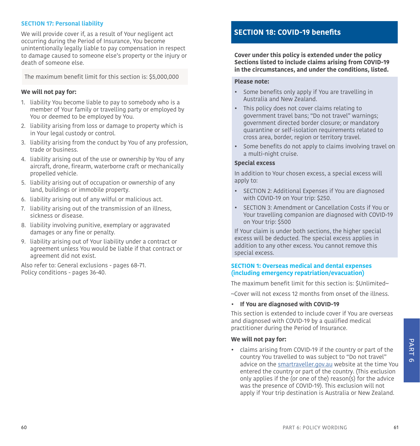#### **SECTION 17: Personal liability**

We will provide cover if, as a result of Your negligent act occurring during the Period of Insurance, You become unintentionally legally liable to pay compensation in respect to damage caused to someone else's property or the injury or death of someone else.

The maximum benefit limit for this section is: \$5,000,000

#### **We will not pay for:**

- 1. liability You become liable to pay to somebody who is a member of Your family or travelling party or employed by You or deemed to be employed by You.
- 2. liability arising from loss or damage to property which is in Your legal custody or control.
- <span id="page-30-1"></span>3. liability arising from the conduct by You of any profession, trade or business.
- 4. liability arising out of the use or ownership by You of any aircraft, drone, firearm, waterborne craft or mechanically propelled vehicle.
- 5. liability arising out of occupation or ownership of any land, buildings or immobile property.
- 6. liability arising out of any wilful or malicious act.
- 7. liability arising out of the transmission of an illness, sickness or disease.
- 8. liability involving punitive, exemplary or aggravated damages or any fine or penalty.
- 9. liability arising out of Your liability under a contract or agreement unless You would be liable if that contract or agreement did not exist.

Also refer to: General exclusions - pages [68](#page-34-0)[-71](#page-35-1). Policy conditions - pages [36](#page-18-0)[-40.](#page-20-1)

### <span id="page-30-0"></span>**SECTION 18: COVID-19 benefits**

**Cover under this policy is extended under the policy Sections listed to include claims arising from COVID-19 in the circumstances, and under the conditions, listed.**

#### **Please note:**

- Some benefits only apply if You are travelling in Australia and New Zealand.
- This policy does not cover claims relating to government travel bans; "Do not travel" warnings; government directed border closure; or mandatory quarantine or self-isolation requirements related to cross area, border, region or territory travel.
- Some benefits do not apply to claims involving travel on a multi-night cruise.

#### **Special excess**

In addition to Your chosen excess, a special excess will apply to:

- SECTION 2: Additional Expenses if You are diagnosed with COVID-19 on Your trip: \$250.
- SECTION 3: Amendment or Cancellation Costs if You or Your travelling companion are diagnosed with COVID-19 on Your trip: \$500

If Your claim is under both sections, the higher special excess will be deducted. The special excess applies in addition to any other excess. You cannot remove this special excess.

#### **SECTION 1: Overseas medical and dental expenses (including emergency repatriation/evacuation)**

The maximum benefit limit for this section is: \$Unlimited~

~Cover will not excess 12 months from onset of the illness.

#### **• If You are diagnosed with COVID-19**

This section is extended to include cover if You are overseas and diagnosed with COVID-19 by a qualified medical practitioner during the Period of Insurance.

#### **We will not pay for:**

• claims arising from COVID-19 if the country or part of the country You travelled to was subject to "Do not travel" advice on the smartraveller.gov.au website at the time You entered the country or part of the country. (This exclusion only applies if the (or one of the) reason(s) for the advice was the presence of COVID-19). This exclusion will not apply if Your trip destination is Australia or New Zealand.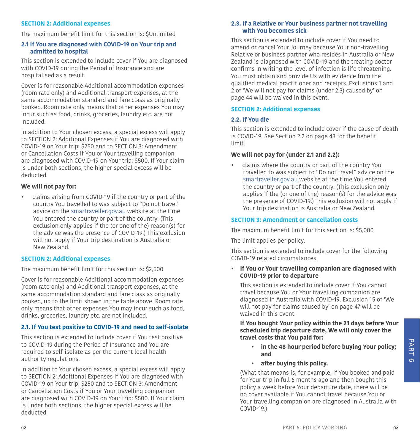#### **SECTION 2: Additional expenses**

The maximum benefit limit for this section is: \$Unlimited

#### **2.1 If You are diagnosed with COVID-19 on Your trip and admitted to hospital**

This section is extended to include cover if You are diagnosed with COVID-19 during the Period of Insurance and are hospitalised as a result.

Cover is for reasonable Additional accommodation expenses (room rate only) and Additional transport expenses, at the same accommodation standard and fare class as originally booked. Room rate only means that other expenses You may incur such as food, drinks, groceries, laundry etc. are not included.

In addition to Your chosen excess, a special excess will apply to SECTION 2: Additional Expenses if You are diagnosed with COVID-19 on Your trip: \$250 and to SECTION 3: Amendment or Cancellation Costs if You or Your travelling companion are diagnosed with COVID-19 on Your trip: \$500. If Your claim is under both sections, the higher special excess will be deducted.

#### **We will not pay for:**

• claims arising from COVID-19 if the country or part of the country You travelled to was subject to "Do not travel" advice on the smartraveller.gov.au website at the time You entered the country or part of the country. (This exclusion only applies if the (or one of the) reason(s) for the advice was the presence of COVID-19.) This exclusion will not apply if Your trip destination is Australia or New Zealand.

#### **SECTION 2: Additional expenses**

The maximum benefit limit for this section is: \$2,500

Cover is for reasonable Additional accommodation expenses (room rate only) and Additional transport expenses, at the same accommodation standard and fare class as originally booked, up to the limit shown in the table above. Room rate only means that other expenses You may incur such as food, drinks, groceries, laundry etc. are not included.

#### **2.1. If You test positive to COVID-19 and need to self-isolate**

This section is extended to include cover if You test positive to COVID-19 during the Period of Insurance and You are required to self-isolate as per the current local health authority regulations.

In addition to Your chosen excess, a special excess will apply to SECTION 2: Additional Expenses if You are diagnosed with COVID-19 on Your trip: \$250 and to SECTION 3: Amendment or Cancellation Costs if You or Your travelling companion are diagnosed with COVID-19 on Your trip: \$500. If Your claim is under both sections, the higher special excess will be deducted.

#### **2.3. If a Relative or Your business partner not travelling with You becomes sick**

This section is extended to include cover if You need to amend or cancel Your Journey because Your non-travelling Relative or business partner who resides in Australia or New Zealand is diagnosed with COVID-19 and the treating doctor confirms in writing the level of infection is life threatening. You must obtain and provide Us with evidence from the qualified medical practitioner and receipts. Exclusions 1 and 2 of 'We will not pay for claims (under 2.3) caused by' on page [44](#page-22-0) will be waived in this event.

#### **SECTION 2: Additional expenses**

#### **2.2. If You die**

This section is extended to include cover if the cause of death is COVID-19. See Section 2.2 on page [43](#page-21-0) for the benefit limit.

#### **We will not pay for (under 2.1 and 2.2):**

• claims where the country or part of the country You travelled to was subject to "Do not travel" advice on the smartraveller.gov.au website at the time You entered the country or part of the country. (This exclusion only applies if the (or one of the) reason(s) for the advice was the presence of COVID-19.) This exclusion will not apply if Your trip destination is Australia or New Zealand.

#### **SECTION 3: Amendment or cancellation costs**

The maximum benefit limit for this section is: \$5,000

The limit applies per policy.

This section is extended to include cover for the following COVID-19 related circumstances.

**• If You or Your travelling companion are diagnosed with COVID-19 prior to departure**

This section is extended to include cover if You cannot travel because You or Your travelling companion are diagnosed in Australia with COVID-19. Exclusion 15 of 'We will not pay for claims caused by' on page [47](#page-23-1) will be waived in this event.

**If You bought Your policy within the 21 days before Your scheduled trip departure date, We will only cover the travel costs that You paid for:**

- **in the 48 hour period before buying Your policy; and**
- **after buying this policy.**

(What that means is, for example, if You booked and paid for Your trip in full 6 months ago and then bought this policy a week before Your departure date, there will be no cover available if You cannot travel because You or Your travelling companion are diagnosed in Australia with COVID-19.)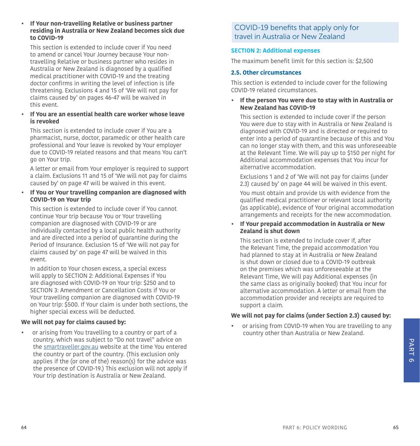#### **• If Your non-travelling Relative or business partner residing in Australia or New Zealand becomes sick due to COVID-19**

This section is extended to include cover if You need to amend or cancel Your Journey because Your nontravelling Relative or business partner who resides in Australia or New Zealand is diagnosed by a qualified medical practitioner with COVID-19 and the treating doctor confirms in writing the level of infection is life threatening. Exclusions 4 and 15 of 'We will not pay for claims caused by' on pages [46-](#page-23-2)[47](#page-23-1) will be waived in this event.

#### **• If You are an essential health care worker whose leave is revoked**

This section is extended to include cover if You are a pharmacist, nurse, doctor, paramedic or other health care professional and Your leave is revoked by Your employer due to COVID-19 related reasons and that means You can't go on Your trip.

A letter or email from Your employer is required to support a claim. Exclusions 11 and 15 of 'We will not pay for claims caused by' on page [47](#page-23-1) will be waived in this event.

#### **• If You or Your travelling companion are diagnosed with COVID-19 on Your trip**

This section is extended to include cover if You cannot continue Your trip because You or Your travelling companion are diagnosed with COVID-19 or are individually contacted by a local public health authority and are directed into a period of quarantine during the Period of Insurance. Exclusion 15 of 'We will not pay for claims caused by' on page [47](#page-23-1) will be waived in this event.

In addition to Your chosen excess, a special excess will apply to SECTION 2: Additional Expenses if You are diagnosed with COVID-19 on Your trip: \$250 and to SECTION 3: Amendment or Cancellation Costs if You or Your travelling companion are diagnosed with COVID-19 on Your trip: \$500. If Your claim is under both sections, the higher special excess will be deducted.

#### **We will not pay for claims caused by:**

• or arising from You travelling to a country or part of a country, which was subject to "Do not travel" advice on the smartraveller.gov.au website at the time You entered the country or part of the country. (This exclusion only applies if the (or one of the) reason(s) for the advice was the presence of COVID-19.) This exclusion will not apply if Your trip destination is Australia or New Zealand.

#### COVID-19 benefits that apply only for travel in Australia or New Zealand

#### **SECTION 2: Additional expenses**

The maximum benefit limit for this section is: \$2,500

#### **2.5. Other circumstances**

This section is extended to include cover for the following COVID-19 related circumstances.

#### **• If the person You were due to stay with in Australia or New Zealand has COVID-19**

This section is extended to include cover if the person You were due to stay with in Australia or New Zealand is diagnosed with COVID-19 and is directed or required to enter into a period of quarantine because of this and You can no longer stay with them, and this was unforeseeable at the Relevant Time. We will pay up to \$150 per night for Additional accommodation expenses that You incur for alternative accommodation.

Exclusions 1 and 2 of 'We will not pay for claims (under 2.3) caused by' on page [44](#page-22-0) will be waived in this event.

You must obtain and provide Us with evidence from the qualified medical practitioner or relevant local authority (as applicable), evidence of Your original accommodation arrangements and receipts for the new accommodation.

#### **• If Your prepaid accommodation in Australia or New Zealand is shut down**

This section is extended to include cover if, after the Relevant Time, the prepaid accommodation You had planned to stay at in Australia or New Zealand is shut down or closed due to a COVID-19 outbreak on the premises which was unforeseeable at the Relevant Time, We will pay Additional expenses (in the same class as originally booked) that You incur for alternative accommodation. A letter or email from the accommodation provider and receipts are required to support a claim.

#### **We will not pay for claims (under Section 2.3) caused by:**

• or arising from COVID-19 when You are travelling to any country other than Australia or New Zealand.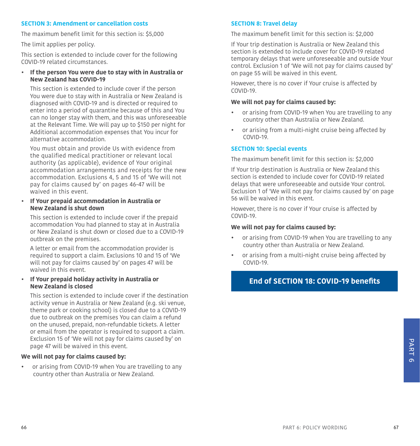#### **SECTION 3: Amendment or cancellation costs**

The maximum benefit limit for this section is: \$5,000

The limit applies per policy.

This section is extended to include cover for the following COVID-19 related circumstances.

**• If the person You were due to stay with in Australia or New Zealand has COVID-19**

This section is extended to include cover if the person You were due to stay with in Australia or New Zealand is diagnosed with COVID-19 and is directed or required to enter into a period of quarantine because of this and You can no longer stay with them, and this was unforeseeable at the Relevant Time. We will pay up to \$150 per night for Additional accommodation expenses that You incur for alternative accommodation.

You must obtain and provide Us with evidence from the qualified medical practitioner or relevant local authority (as applicable), evidence of Your original accommodation arrangements and receipts for the new accommodation. Exclusions 4, 5 and 15 of 'We will not pay for claims caused by' on pages [46](#page-23-2)-[47](#page-23-1) will be waived in this event.

**• If Your prepaid accommodation in Australia or New Zealand is shut down** 

This section is extended to include cover if the prepaid accommodation You had planned to stay at in Australia or New Zealand is shut down or closed due to a COVID-19 outbreak on the premises.

A letter or email from the accommodation provider is required to support a claim. Exclusions 10 and 15 of 'We will not pay for claims caused by' on pages [47](#page-23-1) will be waived in this event.

#### **• If Your prepaid holiday activity in Australia or New Zealand is closed**

This section is extended to include cover if the destination activity venue in Australia or New Zealand (e.g. ski venue, theme park or cooking school) is closed due to a COVID-19 due to outbreak on the premises You can claim a refund on the unused, prepaid, non-refundable tickets. A letter or email from the operator is required to support a claim. Exclusion 15 of 'We will not pay for claims caused by' on page [47](#page-23-1) will be waived in this event.

#### **We will not pay for claims caused by:**

• or arising from COVID-19 when You are travelling to any country other than Australia or New Zealand.

#### **SECTION 8: Travel delay**

The maximum benefit limit for this section is: \$2,000

If Your trip destination is Australia or New Zealand this section is extended to include cover for COVID-19 related temporary delays that were unforeseeable and outside Your control. Exclusion 1 of 'We will not pay for claims caused by' on page [55](#page-27-0) will be waived in this event.

However, there is no cover if Your cruise is affected by COVID-19.

#### **We will not pay for claims caused by:**

- or arising from COVID-19 when You are travelling to any country other than Australia or New Zealand.
- or arising from a multi-night cruise being affected by COVID-19.

#### **SECTION 10: Special events**

The maximum benefit limit for this section is: \$2,000

If Your trip destination is Australia or New Zealand this section is extended to include cover for COVID-19 related delays that were unforeseeable and outside Your control. Exclusion 1 of 'We will not pay for claims caused by' on page [56](#page-28-0) will be waived in this event.

However, there is no cover if Your cruise is affected by COVID-19.

#### **We will not pay for claims caused by:**

- or arising from COVID-19 when You are travelling to any country other than Australia or New Zealand.
- or arising from a multi-night cruise being affected by COVID-19.

#### <span id="page-33-0"></span>**End of SECTION 18: COVID-19 benefits**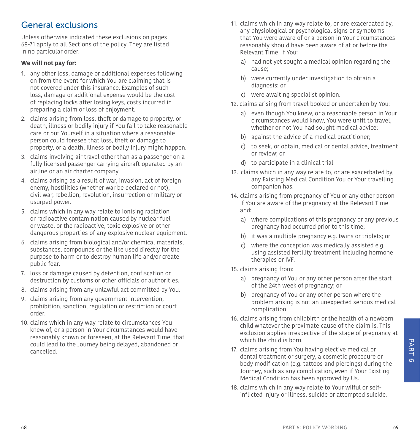# <span id="page-34-0"></span>General exclusions

Unless otherwise indicated these exclusions on pages [68](#page-34-0)-[71](#page-35-1) apply to all Sections of the policy. They are listed in no particular order.

#### **We will not pay for:**

- 1. any other loss, damage or additional expenses following on from the event for which You are claiming that is not covered under this insurance. Examples of such loss, damage or additional expense would be the cost of replacing locks after losing keys, costs incurred in preparing a claim or loss of enjoyment.
- 2. claims arising from loss, theft or damage to property, or death, illness or bodily injury if You fail to take reasonable care or put Yourself in a situation where a reasonable person could foresee that loss, theft or damage to property, or a death, illness or bodily injury might happen.
- 3. claims involving air travel other than as a passenger on a fully licensed passenger carrying aircraft operated by an airline or an air charter company.
- 4. claims arising as a result of war, invasion, act of foreign enemy, hostilities (whether war be declared or not), civil war, rebellion, revolution, insurrection or military or usurped power.
- 5. claims which in any way relate to ionising radiation or radioactive contamination caused by nuclear fuel or waste, or the radioactive, toxic explosive or other dangerous properties of any explosive nuclear equipment.
- 6. claims arising from biological and/or chemical materials, substances, compounds or the like used directly for the purpose to harm or to destroy human life and/or create public fear.
- 7. loss or damage caused by detention, confiscation or destruction by customs or other officials or authorities.
- 8. claims arising from any unlawful act committed by You.
- 9. claims arising from any government intervention, prohibition, sanction, regulation or restriction or court order.
- 10. claims which in any way relate to circumstances You knew of, or a person in Your circumstances would have reasonably known or foreseen, at the Relevant Time, that could lead to the Journey being delayed, abandoned or cancelled.
- 11. claims which in any way relate to, or are exacerbated by, any physiological or psychological signs or symptoms that You were aware of or a person in Your circumstances reasonably should have been aware of at or before the Relevant Time, if You:
	- a) had not yet sought a medical opinion regarding the cause;
	- b) were currently under investigation to obtain a diagnosis; or
	- c) were awaiting specialist opinion.
- 12. claims arising from travel booked or undertaken by You:
	- a) even though You knew, or a reasonable person in Your circumstances would know, You were unfit to travel, whether or not You had sought medical advice;
	- b) against the advice of a medical practitioner;
	- c) to seek, or obtain, medical or dental advice, treatment or review; or
	- d) to participate in a clinical trial
- 13. claims which in any way relate to, or are exacerbated by, any Existing Medical Condition You or Your travelling companion has.
- 14. claims arising from pregnancy of You or any other person if You are aware of the pregnancy at the Relevant Time and:
	- a) where complications of this pregnancy or any previous pregnancy had occurred prior to this time;
	- b) it was a multiple pregnancy e.g. twins or triplets; or
	- c) where the conception was medically assisted e.g. using assisted fertility treatment including hormone therapies or IVF.
- 15. claims arising from:
	- a) pregnancy of You or any other person after the start of the 24th week of pregnancy; or
	- b) pregnancy of You or any other person where the problem arising is not an unexpected serious medical complication.
- 16. claims arising from childbirth or the health of a newborn child whatever the proximate cause of the claim is. This exclusion applies irrespective of the stage of pregnancy at which the child is born.
- 17. claims arising from You having elective medical or dental treatment or surgery, a cosmetic procedure or body modification (e.g. tattoos and piercings) during the Journey, such as any complication, even if Your Existing Medical Condition has been approved by Us.
- 18. claims which in any way relate to Your wilful or selfinflicted injury or illness, suicide or attempted suicide.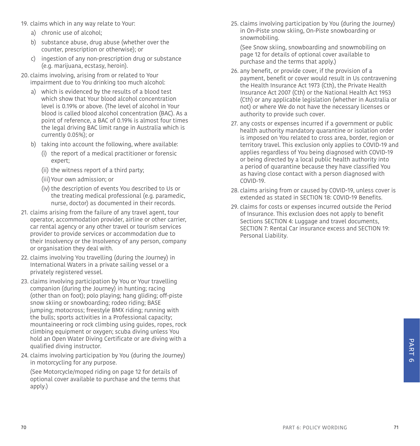- 19. claims which in any way relate to Your:
	- a) chronic use of alcohol;
	- b) substance abuse, drug abuse (whether over the counter, prescription or otherwise); or
	- c) ingestion of any non-prescription drug or substance (e.g. marijuana, ecstasy, heroin).
- 20. claims involving, arising from or related to Your impairment due to You drinking too much alcohol:
	- a) which is evidenced by the results of a blood test which show that Your blood alcohol concentration level is 0.19% or above. (The level of alcohol in Your blood is called blood alcohol concentration (BAC). As a point of reference, a BAC of 0.19% is almost four times the legal driving BAC limit range in Australia which is currently 0.05%); or
	- b) taking into account the following, where available:
		- (i) the report of a medical practitioner or forensic expert;
		- (ii) the witness report of a third party;
		- (iii)Your own admission; or
		- (iv) the description of events You described to Us or the treating medical professional (e.g. paramedic, nurse, doctor) as documented in their records.
- 21. claims arising from the failure of any travel agent, tour operator, accommodation provider, airline or other carrier, car rental agency or any other travel or tourism services provider to provide services or accommodation due to their Insolvency or the Insolvency of any person, company or organisation they deal with.
- <span id="page-35-2"></span>22. claims involving You travelling (during the Journey) in International Waters in a private sailing vessel or a privately registered vessel.
- 23. claims involving participation by You or Your travelling companion (during the Journey) in hunting; racing (other than on foot); polo playing; hang gliding; off-piste snow skiing or snowboarding; rodeo riding; BASE jumping; motocross; freestyle BMX riding; running with the bulls; sports activities in a Professional capacity; mountaineering or rock climbing using guides, ropes, rock climbing equipment or oxygen; scuba diving unless You hold an Open Water Diving Certificate or are diving with a qualified diving instructor.
- 24. claims involving participation by You (during the Journey) in motorcycling for any purpose.

 (See [Motorcycle/moped riding on page 12](#page-6-0) for details of optional cover available to purchase and the terms that apply.)

25. claims involving participation by You (during the Journey) in On-Piste snow skiing, On-Piste snowboarding or snowmobiling.

 (See [Snow skiing, snowboarding and snowmobiling on](#page-6-1)  [page 12](#page-6-1) for details of optional cover available to purchase and the terms that apply.)

- 26. any benefit, or provide cover, if the provision of a payment, benefit or cover would result in Us contravening the Health Insurance Act 1973 (Cth), the Private Health Insurance Act 2007 (Cth) or the National Health Act 1953 (Cth) or any applicable legislation (whether in Australia or not) or where We do not have the necessary licenses or authority to provide such cover.
- 27. any costs or expenses incurred if a government or public health authority mandatory quarantine or isolation order is imposed on You related to cross area, border, region or territory travel. This exclusion only applies to COVID-19 and applies regardless of You being diagnosed with COVID-19 or being directed by a local public health authority into a period of quarantine because they have classified You as having close contact with a person diagnosed with COVID-19.
- 28. claims arising from or caused by COVID-19, unless cover is extended as stated in SECTION 18: COVID-19 Benefits.
- <span id="page-35-1"></span><span id="page-35-0"></span>29. claims for costs or expenses incurred outside the Period of Insurance. This exclusion does not apply to benefit Sections [SECTION 4: Luggage and travel documents](#page-23-0), SECTION 7: Rental Car insurance excess and SECTION 19: Personal Liability.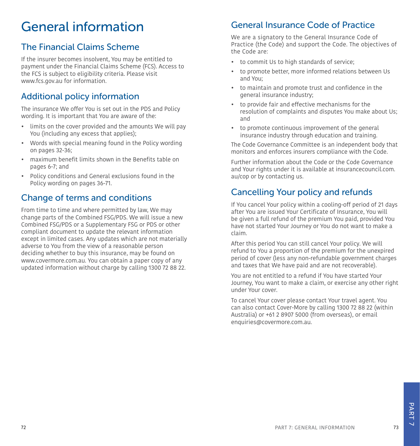# General information

# <span id="page-36-0"></span>The Financial Claims Scheme

If the insurer becomes insolvent, You may be entitled to payment under the Financial Claims Scheme (FCS). Access to the FCS is subject to eligibility criteria. Please visit www.fcs.gov.au for information.

# <span id="page-36-1"></span>Additional policy information

The insurance We offer You is set out in the PDS and Policy wording. It is important that You are aware of the:

- limits on the cover provided and the amounts We will pay You (including any excess that applies);
- Words with special meaning found in the Policy wording on pages [32](#page-16-1)-[36](#page-18-1);
- maximum benefit limits shown in the Benefits table on pages [6](#page-3-0)-7; and
- Policy conditions and General exclusions found in the Policy wording on pages [36](#page-18-0)-[71.](#page-35-1)

### <span id="page-36-2"></span>Change of terms and conditions

From time to time and where permitted by law, We may change parts of the Combined FSG/PDS. We will issue a new Combined FSG/PDS or a Supplementary FSG or PDS or other compliant document to update the relevant information except in limited cases. Any updates which are not materially adverse to You from the view of a reasonable person deciding whether to buy this insurance, may be found on www.covermore.com.au. You can obtain a paper copy of any updated information without charge by calling 1300 72 88 22.

# <span id="page-36-3"></span>General Insurance Code of Practice

We are a signatory to the General Insurance Code of Practice (the Code) and support the Code. The objectives of the Code are:

- to commit Us to high standards of service;
- to promote better, more informed relations between Us and You;
- to maintain and promote trust and confidence in the general insurance industry;
- to provide fair and effective mechanisms for the resolution of complaints and disputes You make about Us; and
- to promote continuous improvement of the general insurance industry through education and training.

The Code Governance Committee is an independent body that monitors and enforces insurers compliance with the Code.

Further information about the Code or the Code Governance and Your rights under it is available at [insurancecouncil.com.](mailto:afca.org.au?subject=) [au/cop](mailto:afca.org.au?subject=) or by contacting us.

# <span id="page-36-4"></span>Cancelling Your policy and refunds

If You cancel Your policy within a cooling-off period of 21 days after You are issued Your Certificate of Insurance, You will be given a full refund of the premium You paid, provided You have not started Your Journey or You do not want to make a claim.

After this period You can still cancel Your policy. We will refund to You a proportion of the premium for the unexpired period of cover (less any non-refundable government charges and taxes that We have paid and are not recoverable).

You are not entitled to a refund if You have started Your Journey, You want to make a claim, or exercise any other right under Your cover.

To cancel Your cover please contact Your travel agent. You can also contact Cover-More by calling 1300 72 88 22 (within Australia) or +61 2 8907 5000 (from overseas), or email enquiries@covermore.com.au.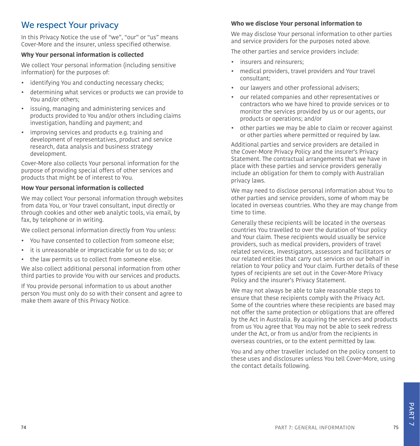# <span id="page-37-0"></span>We respect Your privacy

In this Privacy Notice the use of "we", "our" or "us" means Cover-More and the insurer, unless specified otherwise.

#### **Why Your personal information is collected**

We collect Your personal information (including sensitive information) for the purposes of:

- identifying You and conducting necessary checks;
- determining what services or products we can provide to You and/or others;
- issuing, managing and administering services and products provided to You and/or others including claims investigation, handling and payment; and
- improving services and products e.g. training and development of representatives, product and service research, data analysis and business strategy development.

Cover-More also collects Your personal information for the purpose of providing special offers of other services and products that might be of interest to You.

#### **How Your personal information is collected**

We may collect Your personal information through websites from data You, or Your travel consultant, input directly or through cookies and other web analytic tools, via email, by fax, by telephone or in writing.

We collect personal information directly from You unless:

- You have consented to collection from someone else;
- it is unreasonable or impracticable for us to do so; or
- the law permits us to collect from someone else.

We also collect additional personal information from other third parties to provide You with our services and products.

If You provide personal information to us about another person You must only do so with their consent and agree to make them aware of this Privacy Notice.

#### **Who we disclose Your personal information to**

We may disclose Your personal information to other parties and service providers for the purposes noted above.

The other parties and service providers include:

- insurers and reinsurers;
- medical providers, travel providers and Your travel consultant;
- our lawyers and other professional advisers;
- our related companies and other representatives or contractors who we have hired to provide services or to monitor the services provided by us or our agents, our products or operations; and/or
- other parties we may be able to claim or recover against or other parties where permitted or required by law.

Additional parties and service providers are detailed in the Cover-More Privacy Policy and the insurer's Privacy Statement. The contractual arrangements that we have in place with these parties and service providers generally include an obligation for them to comply with Australian privacy laws.

We may need to disclose personal information about You to other parties and service providers, some of whom may be located in overseas countries. Who they are may change from time to time.

Generally these recipients will be located in the overseas countries You travelled to over the duration of Your policy and Your claim. These recipients would usually be service providers, such as medical providers, providers of travel related services, investigators, assessors and facilitators or our related entities that carry out services on our behalf in relation to Your policy and Your claim. Further details of these types of recipients are set out in the Cover-More Privacy Policy and the insurer's Privacy Statement.

We may not always be able to take reasonable steps to ensure that these recipients comply with the Privacy Act. Some of the countries where these recipients are based may not offer the same protection or obligations that are offered by the Act in Australia. By acquiring the services and products from us You agree that You may not be able to seek redress under the Act, or from us and/or from the recipients in overseas countries, or to the extent permitted by law.

You and any other traveller included on the policy consent to these uses and disclosures unless You tell Cover-More, using the contact details following.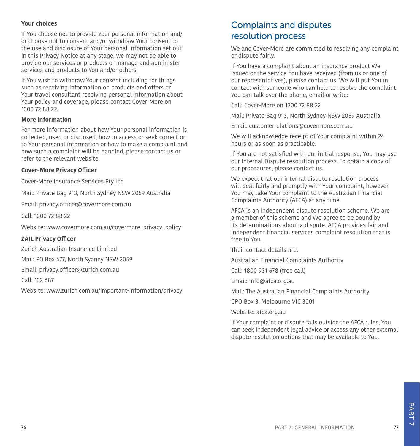#### **Your choices**

If You choose not to provide Your personal information and/ or choose not to consent and/or withdraw Your consent to the use and disclosure of Your personal information set out in this Privacy Notice at any stage, we may not be able to provide our services or products or manage and administer services and products to You and/or others.

If You wish to withdraw Your consent including for things such as receiving information on products and offers or Your travel consultant receiving personal information about Your policy and coverage, please contact Cover-More on 1300 72 88 22.

#### **More information**

For more information about how Your personal information is collected, used or disclosed, how to access or seek correction to Your personal information or how to make a complaint and how such a complaint will be handled, please contact us or refer to the relevant website.

#### **Cover-More Privacy Officer**

Cover-More Insurance Services Pty Ltd

Mail: Private Bag 913, North Sydney NSW 2059 Australia

Email: privacy.officer@covermore.com.au

Call: 1300 72 88 22

Website: [www.covermore.com.au/covermore\\_privacy\\_policy](http://www.covermore.com.au/covermore_privacy_policy)

#### **ZAIL Privacy Officer**

Zurich Australian Insurance Limited

Mail: PO Box 677, North Sydney NSW 2059

Email: privacy.officer@zurich.com.au

Call: 132 687

Website: [www.zurich.com.au/important-information/privacy](http://www.zurich.com.au/important-information/privacy)

# <span id="page-38-0"></span>Complaints and disputes resolution process

We and Cover-More are committed to resolving any complaint or dispute fairly.

If You have a complaint about an insurance product We issued or the service You have received (from us or one of our representatives), please contact us. We will put You in contact with someone who can help to resolve the complaint. You can talk over the phone, email or write:

Call: Cover-More on 1300 72 88 22

Mail: Private Bag 913, North Sydney NSW 2059 Australia

Email: customerrelations@covermore.com.au

We will acknowledge receipt of Your complaint within 24 hours or as soon as practicable.

If You are not satisfied with our initial response, You may use our Internal Dispute resolution process. To obtain a copy of our procedures, please contact us.

We expect that our internal dispute resolution process will deal fairly and promptly with Your complaint, however, You may take Your complaint to the Australian Financial Complaints Authority (AFCA) at any time.

AFCA is an independent dispute resolution scheme. We are a member of this scheme and We agree to be bound by its determinations about a dispute. AFCA provides fair and independent financial services complaint resolution that is free to You.

Their contact details are:

Australian Financial Complaints Authority

Call: 1800 931 678 (free call)

Email: info@afca.org.au

Mail: The Australian Financial Complaints Authority

GPO Box 3, Melbourne VIC 3001

Website: afca.org.au

If Your complaint or dispute falls outside the AFCA rules, You can seek independent legal advice or access any other external dispute resolution options that may be available to You.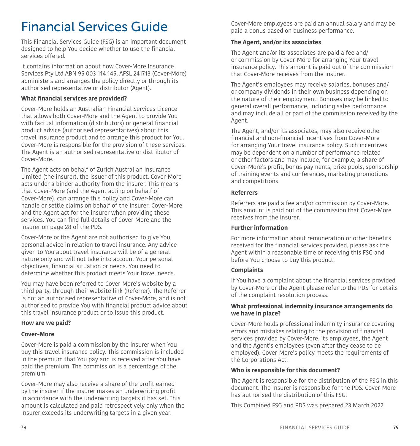# <span id="page-39-0"></span>Financial Services Guide

This Financial Services Guide (FSG) is an important document designed to help You decide whether to use the financial services offered.

It contains information about how Cover-More Insurance Services Pty Ltd ABN 95 003 114 145, AFSL 241713 (Cover-More) administers and arranges the policy directly or through its authorised representative or distributor (Agent).

#### **What financial services are provided?**

Cover-More holds an Australian Financial Services Licence that allows both Cover-More and the Agent to provide You with factual information (distributors) or general financial product advice (authorised representatives) about this travel insurance product and to arrange this product for You. Cover-More is responsible for the provision of these services. The Agent is an authorised representative or distributor of Cover-More.

The Agent acts on behalf of Zurich Australian Insurance Limited (the insurer), the issuer of this product. Cover-More acts under a binder authority from the insurer. This means that Cover-More (and the Agent acting on behalf of Cover-More), can arrange this policy and Cover-More can handle or settle claims on behalf of the insurer. Cover-More and the Agent act for the insurer when providing these services. You can find full details of Cover-More and the insurer on page [28](#page-14-2) of the PDS.

Cover-More or the Agent are not authorised to give You personal advice in relation to travel insurance. Any advice given to You about travel insurance will be of a general nature only and will not take into account Your personal objectives, financial situation or needs. You need to determine whether this product meets Your travel needs.

You may have been referred to Cover-More's website by a third party, through their website link (Referrer). The Referrer is not an authorised representative of Cover-More, and is not authorised to provide You with financial product advice about this travel insurance product or to issue this product.

#### **How are we paid?**

#### **Cover-More**

Cover-More is paid a commission by the insurer when You buy this travel insurance policy. This commission is included in the premium that You pay and is received after You have paid the premium. The commission is a percentage of the premium.

Cover-More may also receive a share of the profit earned by the insurer if the insurer makes an underwriting profit in accordance with the underwriting targets it has set. This amount is calculated and paid retrospectively only when the insurer exceeds its underwriting targets in a given year.

Cover-More employees are paid an annual salary and may be paid a bonus based on business performance.

#### **The Agent, and/or its associates**

The Agent and/or its associates are paid a fee and/ or commission by Cover-More for arranging Your travel insurance policy. This amount is paid out of the commission that Cover-More receives from the insurer.

The Agent's employees may receive salaries, bonuses and/ or company dividends in their own business depending on the nature of their employment. Bonuses may be linked to general overall performance, including sales performance and may include all or part of the commission received by the Agent.

The Agent, and/or its associates, may also receive other financial and non-financial incentives from Cover-More for arranging Your travel insurance policy. Such incentives may be dependent on a number of performance related or other factors and may include, for example, a share of Cover-More's profit, bonus payments, prize pools, sponsorship of training events and conferences, marketing promotions and competitions.

#### **Referrers**

Referrers are paid a fee and/or commission by Cover-More. This amount is paid out of the commission that Cover-More receives from the insurer.

#### **Further information**

For more information about remuneration or other benefits received for the financial services provided, please ask the Agent within a reasonable time of receiving this FSG and before You choose to buy this product.

#### **Complaints**

If You have a complaint about the financial services provided by Cover-More or the Agent please refer to the PDS for details of the complaint resolution process.

#### **What professional indemnity insurance arrangements do we have in place?**

Cover-More holds professional indemnity insurance covering errors and mistakes relating to the provision of financial services provided by Cover-More, its employees, the Agent and the Agent's employees (even after they cease to be employed). Cover-More's policy meets the requirements of the Corporations Act.

#### <span id="page-39-2"></span>**Who is responsible for this document?**

The Agent is responsible for the distribution of the FSG in this document. The insurer is responsible for the PDS. Cover-More has authorised the distribution of this FSG.

<span id="page-39-1"></span>This Combined FSG and PDS was prepared 23 March 2022.